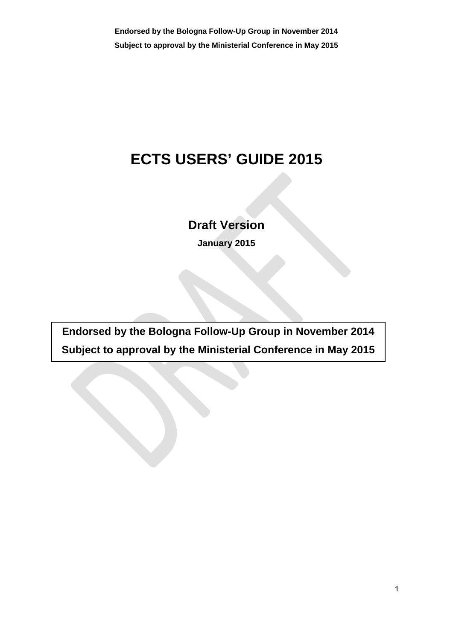**Endorsed by the Bologna Follow-Up Group in November 2014 Subject to approval by the Ministerial Conference in May 2015**

# **ECTS USERS' GUIDE 2015**

**Draft Version** 

**January 2015** 

**Endorsed by the Bologna Follow-Up Group in November 2014 Subject to approval by the Ministerial Conference in May 2015**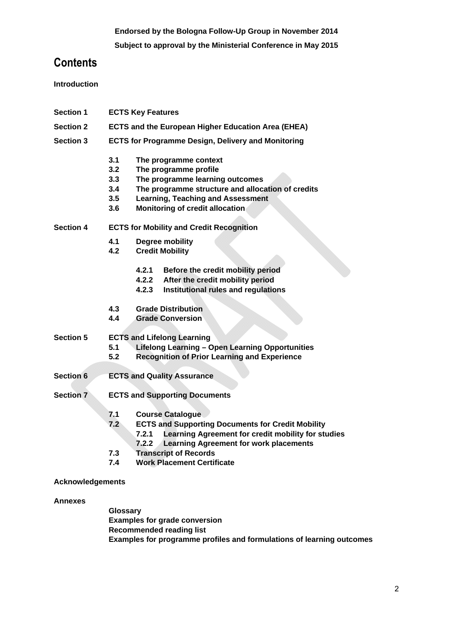**Subject to approval by the Ministerial Conference in May 2015**

# **Contents**

**Introduction** 

- **Section 1 ECTS Key Features**
- **Section 2 ECTS and the European Higher Education Area (EHEA)**
- **Section 3 ECTS for Programme Design, Delivery and Monitoring** 
	- **3.1 The programme context**
	- **3.2 The programme profile**
	- **3.3 The programme learning outcomes**
	- **3.4 The programme structure and allocation of credits**
	- **3.5 Learning, Teaching and Assessment**
	- **3.6 Monitoring of credit allocation**

**Section 4 ECTS for Mobility and Credit Recognition** 

- **4.1 Degree mobility**
- **4.2 Credit Mobility** 
	- **4.2.1 Before the credit mobility period**
	- **4.2.2 After the credit mobility period**
	- **4.2.3 Institutional rules and regulations**
- **4.3 Grade Distribution**
- **4.4 Grade Conversion**
- **Section 5 ECTS and Lifelong Learning** 
	- **5.1 Lifelong Learning Open Learning Opportunities**
	- **5.2 Recognition of Prior Learning and Experience**
- **Section 6 ECTS and Quality Assurance**
- **Section 7 ECTS and Supporting Documents** 
	- **7.1 Course Catalogue**
	- **7.2 ECTS and Supporting Documents for Credit Mobility** 
		- **7.2.1 Learning Agreement for credit mobility for studies** 
			- **7.2.2 Learning Agreement for work placements**
	- **7.3 Transcript of Records**
	- **7.4 Work Placement Certificate**

## **Acknowledgements**

## **Annexes**

**Glossary Examples for grade conversion Recommended reading list Examples for programme profiles and formulations of learning outcomes**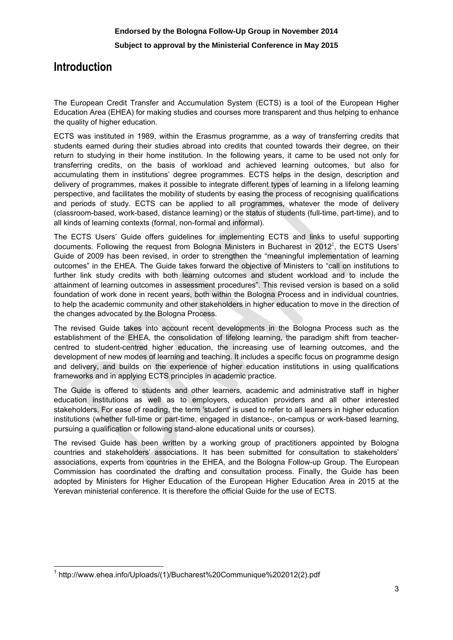## **Introduction**

The European Credit Transfer and Accumulation System (ECTS) is a tool of the European Higher Education Area (EHEA) for making studies and courses more transparent and thus helping to enhance the quality of higher education.

ECTS was instituted in 1989, within the Erasmus programme, as a way of transferring credits that students earned during their studies abroad into credits that counted towards their degree, on their return to studying in their home institution. In the following years, it came to be used not only for transferring credits, on the basis of workload and achieved learning outcomes, but also for accumulating them in institutions' degree programmes. ECTS helps in the design, description and delivery of programmes, makes it possible to integrate different types of learning in a lifelong learning perspective, and facilitates the mobility of students by easing the process of recognising qualifications and periods of study. ECTS can be applied to all programmes, whatever the mode of delivery (classroom-based, work-based, distance learning) or the status of students (full-time, part-time), and to all kinds of learning contexts (formal, non-formal and informal).

The ECTS Users' Guide offers guidelines for implementing ECTS and links to useful supporting documents. Following the request from Bologna Ministers in Bucharest in  $2012<sup>1</sup>$ , the ECTS Users' Guide of 2009 has been revised, in order to strengthen the "meaningful implementation of learning outcomes" in the EHEA. The Guide takes forward the objective of Ministers to "call on institutions to further link study credits with both learning outcomes and student workload and to include the attainment of learning outcomes in assessment procedures". This revised version is based on a solid foundation of work done in recent years, both within the Bologna Process and in individual countries, to help the academic community and other stakeholders in higher education to move in the direction of the changes advocated by the Bologna Process.

The revised Guide takes into account recent developments in the Bologna Process such as the establishment of the EHEA, the consolidation of lifelong learning, the paradigm shift from teachercentred to student-centred higher education, the increasing use of learning outcomes, and the development of new modes of learning and teaching. It includes a specific focus on programme design and delivery, and builds on the experience of higher education institutions in using qualifications frameworks and in applying ECTS principles in academic practice.

The Guide is offered to students and other learners, academic and administrative staff in higher education institutions as well as to employers, education providers and all other interested stakeholders. For ease of reading, the term 'student' is used to refer to all learners in higher education institutions (whether full-time or part-time, engaged in distance-, on-campus or work-based learning, pursuing a qualification or following stand-alone educational units or courses).

The revised Guide has been written by a working group of practitioners appointed by Bologna countries and stakeholders' associations. It has been submitted for consultation to stakeholders' associations, experts from countries in the EHEA, and the Bologna Follow-up Group. The European Commission has coordinated the drafting and consultation process. Finally, the Guide has been adopted by Ministers for Higher Education of the European Higher Education Area in 2015 at the Yerevan ministerial conference. It is therefore the official Guide for the use of ECTS.

 $\overline{\phantom{a}}$ 1  [http://www.ehea.info/Uploads/\(1\)/Bucharest%20Communique%202012\(2\).pdf](http://www.ehea.info/uploads/(1)/bucharest%252520communique%2525202012(2).pdf)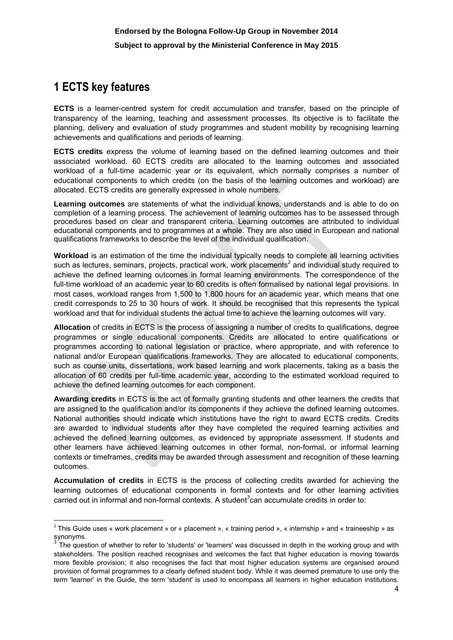# **1 ECTS key features**

**ECTS** is a learner-centred system for credit accumulation and transfer, based on the principle of transparency of the learning, teaching and assessment processes. Its objective is to facilitate the planning, delivery and evaluation of study programmes and student mobility by recognising learning achievements and qualifications and periods of learning.

**ECTS credits** express the volume of learning based on the defined learning outcomes and their associated workload. 60 ECTS credits are allocated to the learning outcomes and associated workload of a full-time academic year or its equivalent, which normally comprises a number of educational components to which credits (on the basis of the learning outcomes and workload) are allocated. ECTS credits are generally expressed in whole numbers.

**Learning outcomes** are statements of what the individual knows, understands and is able to do on completion of a learning process. The achievement of learning outcomes has to be assessed through procedures based on clear and transparent criteria. Learning outcomes are attributed to individual educational components and to programmes at a whole. They are also used in European and national qualifications frameworks to describe the level of the individual qualification.

**Workload** is an estimation of the time the individual typically needs to complete all learning activities such as lectures, seminars, projects, practical work, work placements<sup>2</sup> and individual study required to achieve the defined learning outcomes in formal learning environments. The correspondence of the full-time workload of an academic year to 60 credits is often formalised by national legal provisions. In most cases, workload ranges from 1,500 to 1,800 hours for an academic year, which means that one credit corresponds to 25 to 30 hours of work. It should be recognised that this represents the typical workload and that for individual students the actual time to achieve the learning outcomes will vary.

**Allocation** of credits in ECTS is the process of assigning a number of credits to qualifications, degree programmes or single educational components. Credits are allocated to entire qualifications or programmes according to national legislation or practice, where appropriate, and with reference to national and/or European qualifications frameworks. They are allocated to educational components, such as course units, dissertations, work based learning and work placements, taking as a basis the allocation of 60 credits per full-time academic year, according to the estimated workload required to achieve the defined learning outcomes for each component.

**Awarding credits** in ECTS is the act of formally granting students and other learners the credits that are assigned to the qualification and/or its components if they achieve the defined learning outcomes. National authorities should indicate which institutions have the right to award ECTS credits. Credits are awarded to individual students after they have completed the required learning activities and achieved the defined learning outcomes, as evidenced by appropriate assessment. If students and other learners have achieved learning outcomes in other formal, non-formal, or informal learning contexts or timeframes, credits may be awarded through assessment and recognition of these learning outcomes.

**Accumulation of credits** in ECTS is the process of collecting credits awarded for achieving the learning outcomes of educational components in formal contexts and for other learning activities carried out in informal and non-formal contexts. A student<sup>3</sup>can accumulate credits in order to:

**<sup>.</sup>** <sup>2</sup> This Guide uses « work placement » or « placement », « training period », « internship » and « traineeship » as synonyms.

The question of whether to refer to 'students' or 'learners' was discussed in depth in the working group and with stakeholders. The position reached recognises and welcomes the fact that higher education is moving towards more flexible provision; it also recognises the fact that most higher education systems are organised around provision of formal programmes to a clearly defined student body. While it was deemed premature to use only the term 'learner' in the Guide, the term 'student' is used to encompass all learners in higher education institutions.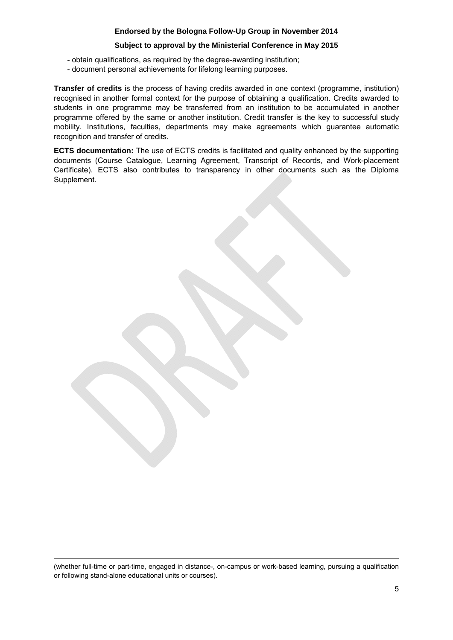## **Subject to approval by the Ministerial Conference in May 2015**

- obtain qualifications, as required by the degree-awarding institution;
- document personal achievements for lifelong learning purposes.

**Transfer of credits** is the process of having credits awarded in one context (programme, institution) recognised in another formal context for the purpose of obtaining a qualification. Credits awarded to students in one programme may be transferred from an institution to be accumulated in another programme offered by the same or another institution. Credit transfer is the key to successful study mobility. Institutions, faculties, departments may make agreements which guarantee automatic recognition and transfer of credits.

**ECTS documentation:** The use of ECTS credits is facilitated and quality enhanced by the supporting documents (Course Catalogue, Learning Agreement, Transcript of Records, and Work-placement Certificate). ECTS also contributes to transparency in other documents such as the Diploma Supplement.

(whether full-time or part-time, engaged in distance-, on-campus or work-based learning, pursuing a qualification or following stand-alone educational units or courses).

**.**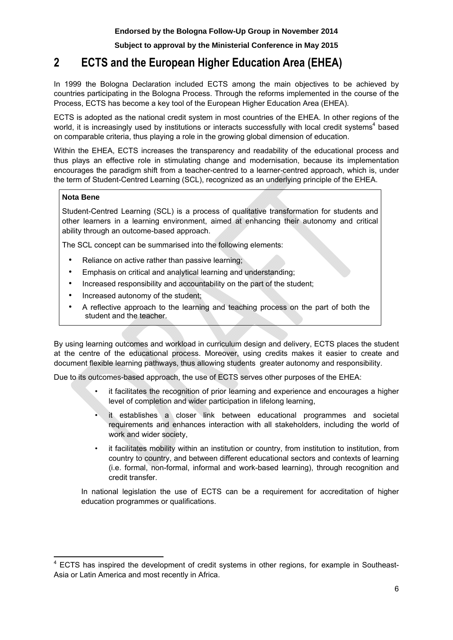# **2 ECTS and the European Higher Education Area (EHEA)**

In 1999 the Bologna Declaration included ECTS among the main objectives to be achieved by countries participating in the Bologna Process. Through the reforms implemented in the course of the Process, ECTS has become a key tool of the European Higher Education Area (EHEA).

ECTS is adopted as the national credit system in most countries of the EHEA. In other regions of the world, it is increasingly used by institutions or interacts successfully with local credit systems<sup>4</sup> based on comparable criteria, thus playing a role in the growing global dimension of education.

Within the EHEA, ECTS increases the transparency and readability of the educational process and thus plays an effective role in stimulating change and modernisation, because its implementation encourages the paradigm shift from a teacher-centred to a learner-centred approach, which is, under the term of Student-Centred Learning (SCL), recognized as an underlying principle of the EHEA.

## **Nota Bene**

Student-Centred Learning (SCL) is a process of qualitative transformation for students and other learners in a learning environment, aimed at enhancing their autonomy and critical ability through an outcome-based approach.

The SCL concept can be summarised into the following elements:

- Reliance on active rather than passive learning;
- Emphasis on critical and analytical learning and understanding;
- Increased responsibility and accountability on the part of the student;
- Increased autonomy of the student;
- A reflective approach to the learning and teaching process on the part of both the student and the teacher.

By using learning outcomes and workload in curriculum design and delivery, ECTS places the student at the centre of the educational process. Moreover, using credits makes it easier to create and document flexible learning pathways, thus allowing students greater autonomy and responsibility.

Due to its outcomes-based approach, the use of ECTS serves other purposes of the EHEA:

- it facilitates the recognition of prior learning and experience and encourages a higher level of completion and wider participation in lifelong learning,
- it establishes a closer link between educational programmes and societal requirements and enhances interaction with all stakeholders, including the world of work and wider society,
- it facilitates mobility within an institution or country, from institution to institution, from country to country, and between different educational sectors and contexts of learning (i.e. formal, non-formal, informal and work-based learning), through recognition and credit transfer.

In national legislation the use of ECTS can be a requirement for accreditation of higher education programmes or qualifications.

**<sup>.</sup>** <sup>4</sup> ECTS has inspired the development of credit systems in other regions, for example in Southeast-Asia or Latin America and most recently in Africa.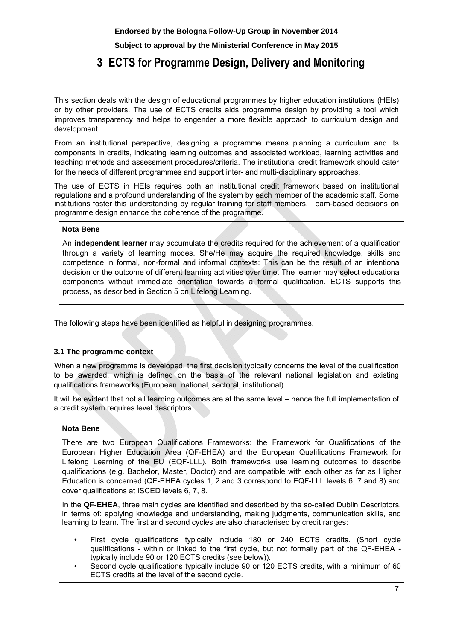**Subject to approval by the Ministerial Conference in May 2015**

# **3 ECTS for Programme Design, Delivery and Monitoring**

This section deals with the design of educational programmes by higher education institutions (HEIs) or by other providers. The use of ECTS credits aids programme design by providing a tool which improves transparency and helps to engender a more flexible approach to curriculum design and development.

From an institutional perspective, designing a programme means planning a curriculum and its components in credits, indicating learning outcomes and associated workload, learning activities and teaching methods and assessment procedures/criteria. The institutional credit framework should cater for the needs of different programmes and support inter- and multi-disciplinary approaches.

The use of ECTS in HEIs requires both an institutional credit framework based on institutional regulations and a profound understanding of the system by each member of the academic staff. Some institutions foster this understanding by regular training for staff members. Team-based decisions on programme design enhance the coherence of the programme.

## **Nota Bene**

An **independent learner** may accumulate the credits required for the achievement of a qualification through a variety of learning modes. She/He may acquire the required knowledge, skills and competence in formal, non-formal and informal contexts: This can be the result of an intentional decision or the outcome of different learning activities over time. The learner may select educational components without immediate orientation towards a formal qualification. ECTS supports this process, as described in Section 5 on Lifelong Learning.

The following steps have been identified as helpful in designing programmes.

## **3.1 The programme context**

When a new programme is developed, the first decision typically concerns the level of the qualification to be awarded, which is defined on the basis of the relevant national legislation and existing qualifications frameworks (European, national, sectoral, institutional).

It will be evident that not all learning outcomes are at the same level – hence the full implementation of a credit system requires level descriptors.

## **Nota Bene**

There are two European Qualifications Frameworks: the Framework for Qualifications of the European Higher Education Area (QF-EHEA) and the European Qualifications Framework for Lifelong Learning of the EU (EQF-LLL). Both frameworks use learning outcomes to describe qualifications (e.g. Bachelor, Master, Doctor) and are compatible with each other as far as Higher Education is concerned (QF-EHEA cycles 1, 2 and 3 correspond to EQF-LLL levels 6, 7 and 8) and cover qualifications at ISCED levels 6, 7, 8.

In the **QF-EHEA**, three main cycles are identified and described by the so-called Dublin Descriptors, in terms of: applying knowledge and understanding, making judgments, communication skills, and learning to learn. The first and second cycles are also characterised by credit ranges:

- First cycle qualifications typically include 180 or 240 ECTS credits. (Short cycle qualifications - within or linked to the first cycle, but not formally part of the QF-EHEA typically include 90 or 120 ECTS credits (see below)).
- Second cycle qualifications typically include 90 or 120 ECTS credits, with a minimum of 60 ECTS credits at the level of the second cycle.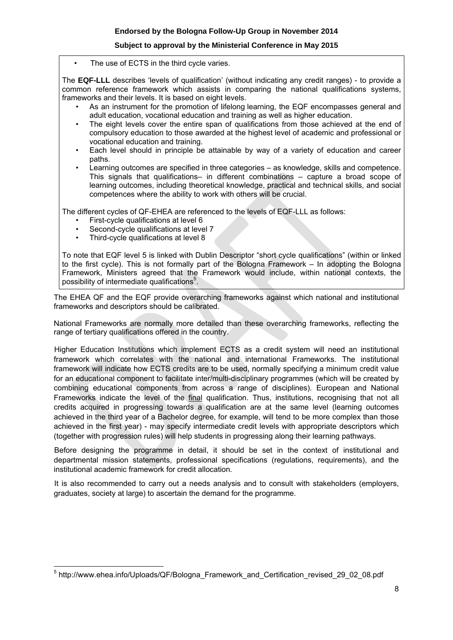The use of ECTS in the third cycle varies.

The **EQF-LLL** describes 'levels of qualification' (without indicating any credit ranges) - to provide a common reference framework which assists in comparing the national qualifications systems, frameworks and their levels. It is based on eight levels.

- As an instrument for the promotion of lifelong learning, the EQF encompasses general and adult education, vocational education and training as well as higher education.
- The eight levels cover the entire span of qualifications from those achieved at the end of compulsory education to those awarded at the highest level of academic and professional or vocational education and training.
- Each level should in principle be attainable by way of a variety of education and career paths.
- Learning outcomes are specified in three categories as knowledge, skills and competence. This signals that qualifications– in different combinations – capture a broad scope of learning outcomes, including theoretical knowledge, practical and technical skills, and social competences where the ability to work with others will be crucial.

The different cycles of QF-EHEA are referenced to the levels of EQF-LLL as follows:

- First-cycle qualifications at level 6
- Second-cycle qualifications at level 7
- Third-cycle qualifications at level 8

To note that EQF level 5 is linked with Dublin Descriptor "short cycle qualifications" (within or linked to the first cycle). This is not formally part of the Bologna Framework – In adopting the Bologna Framework, Ministers agreed that the Framework would include, within national contexts, the possibility of intermediate qualifications<sup>5</sup>.

The EHEA QF and the EQF provide overarching frameworks against which national and institutional frameworks and descriptors should be calibrated.

National Frameworks are normally more detailed than these overarching frameworks, reflecting the range of tertiary qualifications offered in the country.

Higher Education Institutions which implement ECTS as a credit system will need an institutional framework which correlates with the national and international Frameworks. The institutional framework will indicate how ECTS credits are to be used, normally specifying a minimum credit value for an educational component to facilitate inter/multi-disciplinary programmes (which will be created by combining educational components from across a range of disciplines). European and National Frameworks indicate the level of the final qualification. Thus, institutions, recognising that not all credits acquired in progressing towards a qualification are at the same level (learning outcomes achieved in the third year of a Bachelor degree, for example, will tend to be more complex than those achieved in the first year) - may specify intermediate credit levels with appropriate descriptors which (together with progression rules) will help students in progressing along their learning pathways.

Before designing the programme in detail, it should be set in the context of institutional and departmental mission statements, professional specifications (regulations, requirements), and the institutional academic framework for credit allocation.

It is also recommended to carry out a needs analysis and to consult with stakeholders (employers, graduates, society at large) to ascertain the demand for the programme.

 $\overline{\phantom{a}}$ <sup>5</sup> http://www.ehea.info/Uploads/QF/Bologna\_Framework\_and\_Certification\_revised\_29\_02\_08.pdf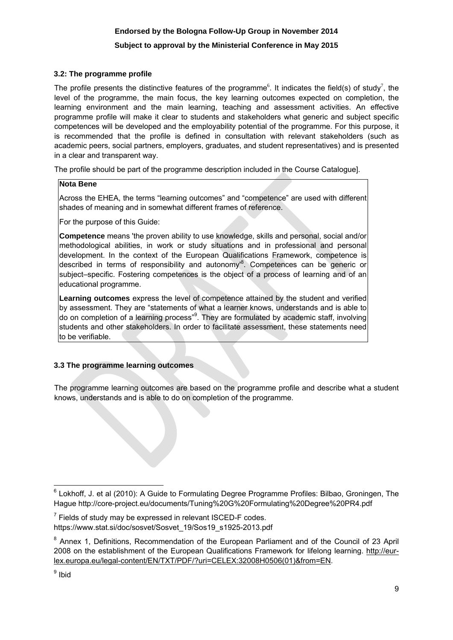## **Subject to approval by the Ministerial Conference in May 2015**

## **3.2: The programme profile**

The profile presents the distinctive features of the programme<sup>6</sup>. It indicates the field(s) of study<sup>7</sup>, the level of the programme, the main focus, the key learning outcomes expected on completion, the learning environment and the main learning, teaching and assessment activities. An effective programme profile will make it clear to students and stakeholders what generic and subject specific competences will be developed and the employability potential of the programme. For this purpose, it is recommended that the profile is defined in consultation with relevant stakeholders (such as academic peers, social partners, employers, graduates, and student representatives) and is presented in a clear and transparent way.

The profile should be part of the programme description included in the Course Catalogue].

## **Nota Bene**

Across the EHEA, the terms "learning outcomes" and "competence" are used with different shades of meaning and in somewhat different frames of reference.

For the purpose of this Guide:

**Competence** means 'the proven ability to use knowledge, skills and personal, social and/or methodological abilities, in work or study situations and in professional and personal development. In the context of the European Qualifications Framework, competence is described in terms of responsibility and autonomy<sup>8</sup>. Competences can be generic or subject–specific. Fostering competences is the object of a process of learning and of an educational programme.

**Learning outcomes** express the level of competence attained by the student and verified by assessment. They are "statements of what a learner knows, understands and is able to do on completion of a learning process"<sup>9</sup>. They are formulated by academic staff, involving students and other stakeholders. In order to facilitate assessment, these statements need to be verifiable.

## **3.3 The programme learning outcomes**

The programme learning outcomes are based on the programme profile and describe what a student knows, understands and is able to do on completion of the programme.

 $\overline{a}$  $^6$  Lokhoff, J. et al (2010): A Guide to Formulating Degree Programme Profiles: Bilbao, Groningen, The Hague http://core-project.eu/documents/Tuning%20G%20Formulating%20Degree%20PR4.pdf

 $7$  Fields of study may be expressed in relevant ISCED-F codes. https://www.stat.si/doc/sosvet/Sosvet\_19/Sos19\_s1925-2013.pdf

<sup>&</sup>lt;sup>8</sup> Annex 1, Definitions, Recommendation of the European Parliament and of the Council of 23 April 2008 on the establishment of the European Qualifications Framework for lifelong learning. http://eur[lex.europa.eu/legal-content/EN/TXT/PDF/?uri=CELEX:32008H0506\(01\)&from=EN.](http://eur-lex.europa.eu/legal-content/EN/TXT/PDF/?uri=CELEX:32008H0506(01)&from=EN)

<sup>&</sup>lt;sup>9</sup> Ibid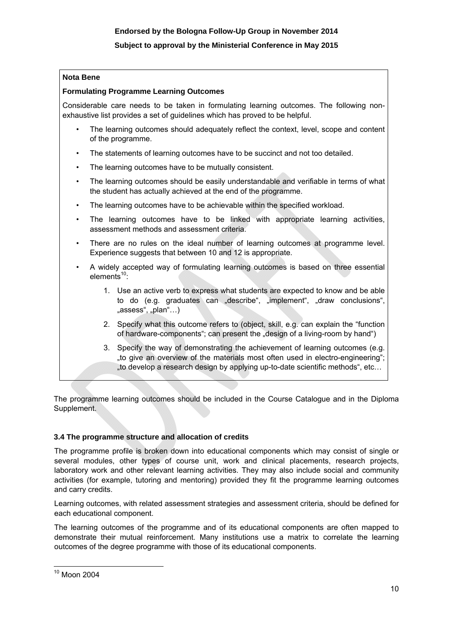## **Nota Bene**

## **Formulating Programme Learning Outcomes**

Considerable care needs to be taken in formulating learning outcomes. The following nonexhaustive list provides a set of guidelines which has proved to be helpful.

- The learning outcomes should adequately reflect the context, level, scope and content of the programme.
- The statements of learning outcomes have to be succinct and not too detailed.
- The learning outcomes have to be mutually consistent.
- The learning outcomes should be easily understandable and verifiable in terms of what the student has actually achieved at the end of the programme.
- The learning outcomes have to be achievable within the specified workload.
- The learning outcomes have to be linked with appropriate learning activities, assessment methods and assessment criteria.
- There are no rules on the ideal number of learning outcomes at programme level. Experience suggests that between 10 and 12 is appropriate.
- A widely accepted way of formulating learning outcomes is based on three essential elements<sup>10</sup>:
	- 1. Use an active verb to express what students are expected to know and be able to do (e.g. graduates can "describe", "implement", "draw conclusions", "assess", "plan"...)
	- 2. Specify what this outcome refers to (object, skill, e.g. can explain the "function of hardware-components"; can present the "design of a living-room by hand")
	- 3. Specify the way of demonstrating the achievement of learning outcomes (e.g. "to give an overview of the materials most often used in electro-engineering"; "to develop a research design by applying up-to-date scientific methods", etc…

The programme learning outcomes should be included in the Course Catalogue and in the Diploma Supplement.

## **3.4 The programme structure and allocation of credits**

The programme profile is broken down into educational components which may consist of single or several modules, other types of course unit, work and clinical placements, research projects, laboratory work and other relevant learning activities. They may also include social and community activities (for example, tutoring and mentoring) provided they fit the programme learning outcomes and carry credits.

Learning outcomes, with related assessment strategies and assessment criteria, should be defined for each educational component.

The learning outcomes of the programme and of its educational components are often mapped to demonstrate their mutual reinforcement. Many institutions use a matrix to correlate the learning outcomes of the degree programme with those of its educational components.

 $\overline{\phantom{a}}$  $10$  Moon 2004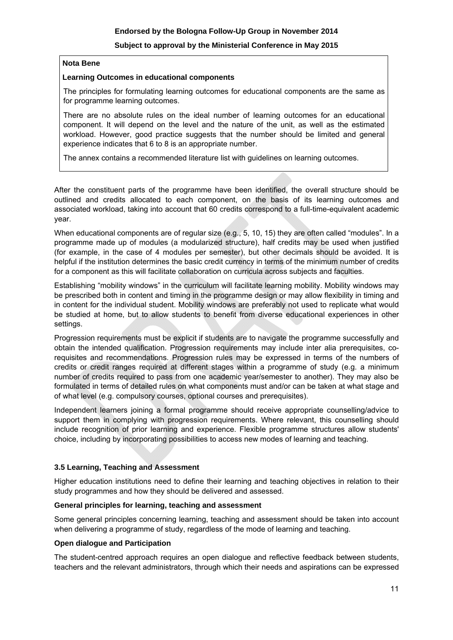## **Nota Bene**

## **Learning Outcomes in educational components**

The principles for formulating learning outcomes for educational components are the same as for programme learning outcomes.

There are no absolute rules on the ideal number of learning outcomes for an educational component. It will depend on the level and the nature of the unit, as well as the estimated workload. However, good practice suggests that the number should be limited and general experience indicates that 6 to 8 is an appropriate number.

The annex contains a recommended literature list with guidelines on learning outcomes.

After the constituent parts of the programme have been identified, the overall structure should be outlined and credits allocated to each component, on the basis of its learning outcomes and associated workload, taking into account that 60 credits correspond to a full-time-equivalent academic year.

When educational components are of regular size (e.g., 5, 10, 15) they are often called "modules". In a programme made up of modules (a modularized structure), half credits may be used when justified (for example, in the case of 4 modules per semester), but other decimals should be avoided. It is helpful if the institution determines the basic credit currency in terms of the minimum number of credits for a component as this will facilitate collaboration on curricula across subjects and faculties.

Establishing "mobility windows" in the curriculum will facilitate learning mobility. Mobility windows may be prescribed both in content and timing in the programme design or may allow flexibility in timing and in content for the individual student. Mobility windows are preferably not used to replicate what would be studied at home, but to allow students to benefit from diverse educational experiences in other settings.

Progression requirements must be explicit if students are to navigate the programme successfully and obtain the intended qualification. Progression requirements may include inter alia prerequisites, corequisites and recommendations. Progression rules may be expressed in terms of the numbers of credits or credit ranges required at different stages within a programme of study (e.g. a minimum number of credits required to pass from one academic year/semester to another). They may also be formulated in terms of detailed rules on what components must and/or can be taken at what stage and of what level (e.g. compulsory courses, optional courses and prerequisites).

Independent learners joining a formal programme should receive appropriate counselling/advice to support them in complying with progression requirements. Where relevant, this counselling should include recognition of prior learning and experience. Flexible programme structures allow students' choice, including by incorporating possibilities to access new modes of learning and teaching.

## **3.5 Learning, Teaching and Assessment**

Higher education institutions need to define their learning and teaching objectives in relation to their study programmes and how they should be delivered and assessed.

## **General principles for learning, teaching and assessment**

Some general principles concerning learning, teaching and assessment should be taken into account when delivering a programme of study, regardless of the mode of learning and teaching.

## **Open dialogue and Participation**

The student-centred approach requires an open dialogue and reflective feedback between students, teachers and the relevant administrators, through which their needs and aspirations can be expressed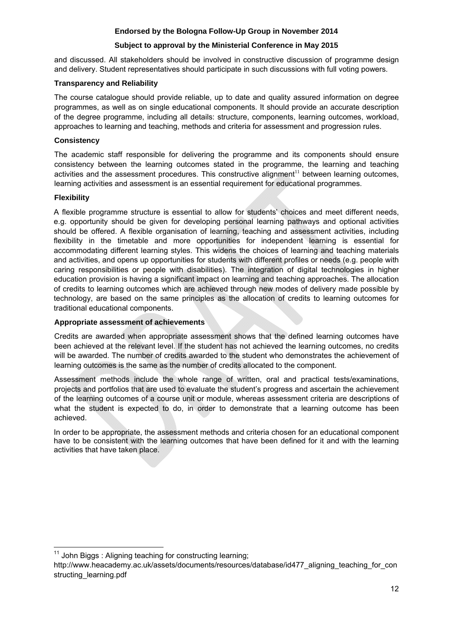## **Subject to approval by the Ministerial Conference in May 2015**

and discussed. All stakeholders should be involved in constructive discussion of programme design and delivery. Student representatives should participate in such discussions with full voting powers.

## **Transparency and Reliability**

The course catalogue should provide reliable, up to date and quality assured information on degree programmes, as well as on single educational components. It should provide an accurate description of the degree programme, including all details: structure, components, learning outcomes, workload, approaches to learning and teaching, methods and criteria for assessment and progression rules.

## **Consistency**

The academic staff responsible for delivering the programme and its components should ensure consistency between the learning outcomes stated in the programme, the learning and teaching [activities and the assessment procedures. This constructive alignment](http://www.heacademy.ac.uk/assets/documents/resources/database/id477_aligning_teaching_for_constructing_learning.pdf)<sup>11</sup> between learning outcomes, learning activities and assessment is an essential requirement for educational programmes.

## **Flexibility**

A flexible programme structure is essential to allow for students' choices and meet different needs, e.g. opportunity should be given for developing personal learning pathways and optional activities should be offered. A flexible organisation of learning, teaching and assessment activities, including flexibility in the timetable and more opportunities for independent learning is essential for accommodating different learning styles. This widens the choices of learning and teaching materials and activities, and opens up opportunities for students with different profiles or needs (e.g. people with caring responsibilities or people with disabilities). The integration of digital technologies in higher education provision is having a significant impact on learning and teaching approaches. The allocation of credits to learning outcomes which are achieved through new modes of delivery made possible by technology, are based on the same principles as the allocation of credits to learning outcomes for traditional educational components.

## **Appropriate assessment of achievements**

Credits are awarded when appropriate assessment shows that the defined learning outcomes have been achieved at the relevant level. If the student has not achieved the learning outcomes, no credits will be awarded. The number of credits awarded to the student who demonstrates the achievement of learning outcomes is the same as the number of credits allocated to the component.

Assessment methods include the whole range of written, oral and practical tests/examinations, projects and portfolios that are used to evaluate the student's progress and ascertain the achievement of the learning outcomes of a course unit or module, whereas assessment criteria are descriptions of what the student is expected to do, in order to demonstrate that a learning outcome has been achieved.

In order to be appropriate, the assessment methods and criteria chosen for an educational component have to be consistent with the learning outcomes that have been defined for it and with the learning activities that have taken place.

**<sup>.</sup>**  $11$  John Biggs : Aligning teaching for constructing learning;

http://www.heacademy.ac.uk/assets/documents/resources/database/id477 aligning teaching for con structing\_learning.pdf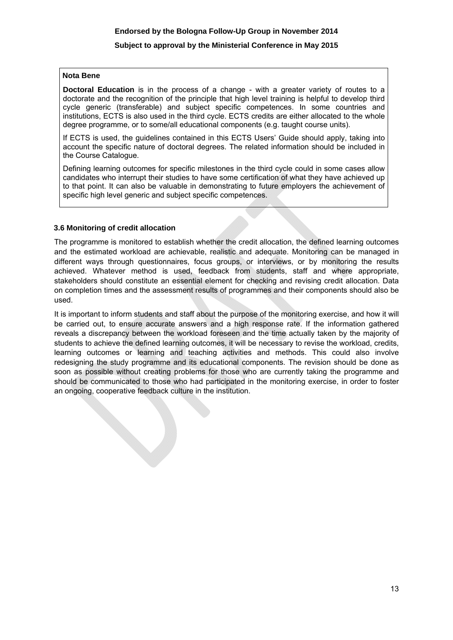#### **Nota Bene**

**Doctoral Education** is in the process of a change - with a greater variety of routes to a doctorate and the recognition of the principle that high level training is helpful to develop third cycle generic (transferable) and subject specific competences. In some countries and institutions, ECTS is also used in the third cycle. ECTS credits are either allocated to the whole degree programme, or to some/all educational components (e.g. taught course units).

If ECTS is used, the guidelines contained in this ECTS Users' Guide should apply, taking into account the specific nature of doctoral degrees. The related information should be included in the Course Catalogue.

Defining learning outcomes for specific milestones in the third cycle could in some cases allow candidates who interrupt their studies to have some certification of what they have achieved up to that point. It can also be valuable in demonstrating to future employers the achievement of specific high level generic and subject specific competences.

#### **3.6 Monitoring of credit allocation**

The programme is monitored to establish whether the credit allocation, the defined learning outcomes and the estimated workload are achievable, realistic and adequate. Monitoring can be managed in different ways through questionnaires, focus groups, or interviews, or by monitoring the results achieved. Whatever method is used, feedback from students, staff and where appropriate, stakeholders should constitute an essential element for checking and revising credit allocation. Data on completion times and the assessment results of programmes and their components should also be used.

It is important to inform students and staff about the purpose of the monitoring exercise, and how it will be carried out, to ensure accurate answers and a high response rate. If the information gathered reveals a discrepancy between the workload foreseen and the time actually taken by the majority of students to achieve the defined learning outcomes, it will be necessary to revise the workload, credits, learning outcomes or learning and teaching activities and methods. This could also involve redesigning the study programme and its educational components. The revision should be done as soon as possible without creating problems for those who are currently taking the programme and should be communicated to those who had participated in the monitoring exercise, in order to foster an ongoing, cooperative feedback culture in the institution.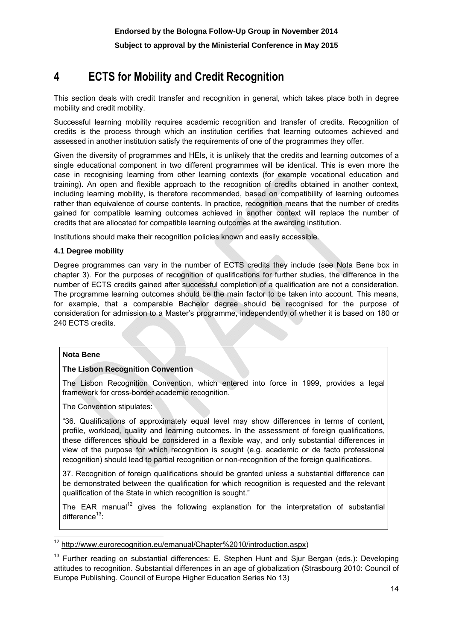# **4 ECTS for Mobility and Credit Recognition**

This section deals with credit transfer and recognition in general, which takes place both in degree mobility and credit mobility.

Successful learning mobility requires academic recognition and transfer of credits. Recognition of credits is the process through which an institution certifies that learning outcomes achieved and assessed in another institution satisfy the requirements of one of the programmes they offer.

Given the diversity of programmes and HEIs, it is unlikely that the credits and learning outcomes of a single educational component in two different programmes will be identical. This is even more the case in recognising learning from other learning contexts (for example vocational education and training). An open and flexible approach to the recognition of credits obtained in another context, including learning mobility, is therefore recommended, based on compatibility of learning outcomes rather than equivalence of course contents. In practice, recognition means that the number of credits gained for compatible learning outcomes achieved in another context will replace the number of credits that are allocated for compatible learning outcomes at the awarding institution.

Institutions should make their recognition policies known and easily accessible.

## **4.1 Degree mobility**

Degree programmes can vary in the number of ECTS credits they include (see Nota Bene box in chapter 3). For the purposes of recognition of qualifications for further studies, the difference in the number of ECTS credits gained after successful completion of a qualification are not a consideration. The programme learning outcomes should be the main factor to be taken into account. This means, for example, that a comparable Bachelor degree should be recognised for the purpose of consideration for admission to a Master's programme, independently of whether it is based on 180 or 240 ECTS credits.

## **Nota Bene**

**.** 

## **The Lisbon Recognition Convention**

The Lisbon Recognition Convention, which entered into force in 1999, provides a legal framework for cross-border academic recognition.

The Convention stipulates:

"36. Qualifications of approximately equal level may show differences in terms of content, profile, workload, quality and learning outcomes. In the assessment of foreign qualifications, these differences should be considered in a flexible way, and only substantial differences in view of the purpose for which recognition is sought (e.g. academic or de facto professional recognition) should lead to partial recognition or non-recognition of the foreign qualifications.

37. Recognition of foreign qualifications should be granted unless a substantial difference can be demonstrated between the qualification for which recognition is requested and the relevant qualification of the State in which recognition is sought."

The EAR manual<sup>12</sup> gives the following explanation for the interpretation of substantial difference $13$ :

http://www.eurorecognition.eu/emanual/Chapter%2010/introduction.aspx)

<sup>13</sup> Further reading on substantial differences: E. Stephen Hunt and Sjur Bergan (eds.): Developing attitudes to recognition. Substantial differences in an age of globalization (Strasbourg 2010: Council of Europe Publishing. Council of Europe Higher Education Series No 13)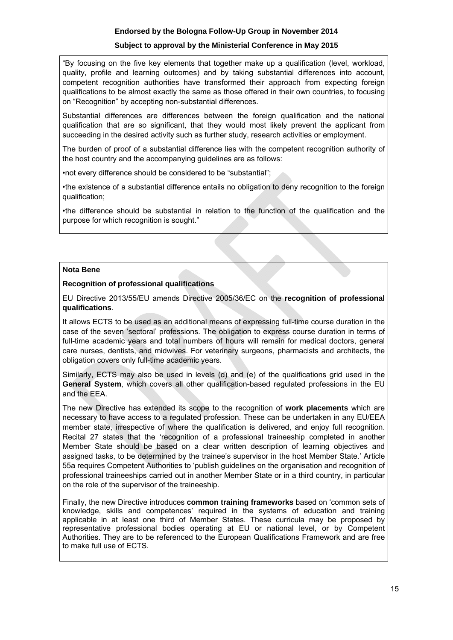## **Subject to approval by the Ministerial Conference in May 2015**

"By focusing on the five key elements that together make up a qualification (level, workload, quality, profile and learning outcomes) and by taking substantial differences into account, competent recognition authorities have transformed their approach from expecting foreign qualifications to be almost exactly the same as those offered in their own countries, to focusing on "Recognition" by accepting non-substantial differences.

Substantial differences are differences between the foreign qualification and the national qualification that are so significant, that they would most likely prevent the applicant from succeeding in the desired activity such as further study, research activities or employment.

The burden of proof of a substantial difference lies with the competent recognition authority of the host country and the accompanying guidelines are as follows:

•not every difference should be considered to be "substantial";

•the existence of a substantial difference entails no obligation to deny recognition to the foreign qualification;

•the difference should be substantial in relation to the function of the qualification and the purpose for which recognition is sought."

## **Nota Bene**

## **Recognition of professional qualifications**

EU Directive 2013/55/EU amends Directive 2005/36/EC on the **recognition of professional qualifications**.

It allows ECTS to be used as an additional means of expressing full-time course duration in the case of the seven 'sectoral' professions. The obligation to express course duration in terms of full-time academic years and total numbers of hours will remain for medical doctors, general care nurses, dentists, and midwives. For veterinary surgeons, pharmacists and architects, the obligation covers only full-time academic years.

Similarly, ECTS may also be used in levels (d) and (e) of the qualifications grid used in the **General System**, which covers all other qualification-based regulated professions in the EU and the EEA.

The new Directive has extended its scope to the recognition of **work placements** which are necessary to have access to a regulated profession. These can be undertaken in any EU/EEA member state, irrespective of where the qualification is delivered, and enjoy full recognition. Recital 27 states that the 'recognition of a professional traineeship completed in another Member State should be based on a clear written description of learning objectives and assigned tasks, to be determined by the trainee's supervisor in the host Member State.' Article 55a requires Competent Authorities to 'publish guidelines on the organisation and recognition of professional traineeships carried out in another Member State or in a third country, in particular on the role of the supervisor of the traineeship.

Finally, the new Directive introduces **common training frameworks** based on 'common sets of knowledge, skills and competences' required in the systems of education and training applicable in at least one third of Member States. These curricula may be proposed by representative professional bodies operating at EU or national level, or by Competent Authorities. They are to be referenced to the European Qualifications Framework and are free to make full use of ECTS.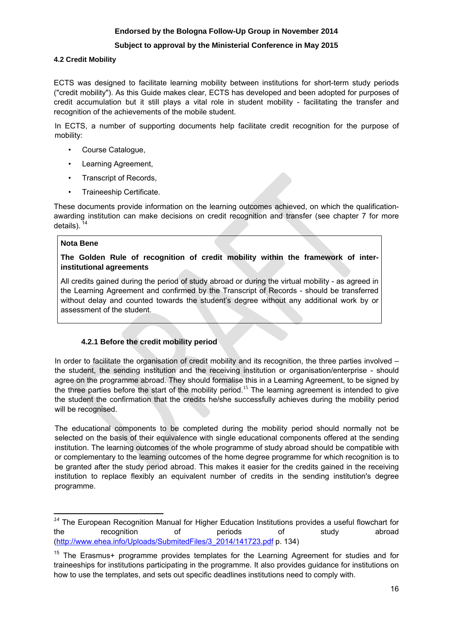## **Subject to approval by the Ministerial Conference in May 2015**

## **4.2 Credit Mobility**

ECTS was designed to facilitate learning mobility between institutions for short-term study periods ("credit mobility"). As this Guide makes clear, ECTS has developed and been adopted for purposes of credit accumulation but it still plays a vital role in student mobility - facilitating the transfer and recognition of the achievements of the mobile student.

In ECTS, a number of supporting documents help facilitate credit recognition for the purpose of mobility:

- Course Catalogue,
- Learning Agreement,
- Transcript of Records,
- Traineeship Certificate.

These documents provide information on the learning outcomes achieved, on which the qualificationawarding institution can make decisions on credit recognition and transfer (see chapter 7 for more details).

## **Nota Bene**

## **The Golden Rule of recognition of credit mobility within the framework of interinstitutional agreements**

All credits gained during the period of study abroad or during the virtual mobility - as agreed in the Learning Agreement and confirmed by the Transcript of Records - should be transferred without delay and counted towards the student's degree without any additional work by or assessment of the student.

## **4.2.1 Before the credit mobility period**

In order to facilitate the organisation of credit mobility and its recognition, the three parties involved – the student, the sending institution and the receiving institution or organisation/enterprise - should agree on the programme abroad. They should formalise this in a Learning Agreement, to be signed by the three parties before the start of the mobility period.<sup>15</sup> The learning agreement is intended to give the student the confirmation that the credits he/she successfully achieves during the mobility period will be recognised.

The educational components to be completed during the mobility period should normally not be selected on the basis of their equivalence with single educational components offered at the sending institution. The learning outcomes of the whole programme of study abroad should be compatible with or complementary to the learning outcomes of the home degree programme for which recognition is to be granted after the study period abroad. This makes it easier for the credits gained in the receiving institution to replace flexibly an equivalent number of credits in the sending institution's degree programme.

**<sup>.</sup>** *<sup>14</sup>* The European Recognition Manual for Higher Education Institutions provides a useful flowchart for the recognition of periods of study abroad [\(http://ww](http://www.ehea.info/uploads/submitedfiles/3_2014/141723.pdf)w.ehea.info/Uploads/SubmitedFiles/3\_2014/141723.pdf p. 134)

<sup>&</sup>lt;sup>15</sup> The Erasmus+ programme provides templates for the Learning Agreement for studies and for traineeships for institutions participating in the programme. It also provides guidance for institutions on how to use the templates, and sets out specific deadlines institutions need to comply with.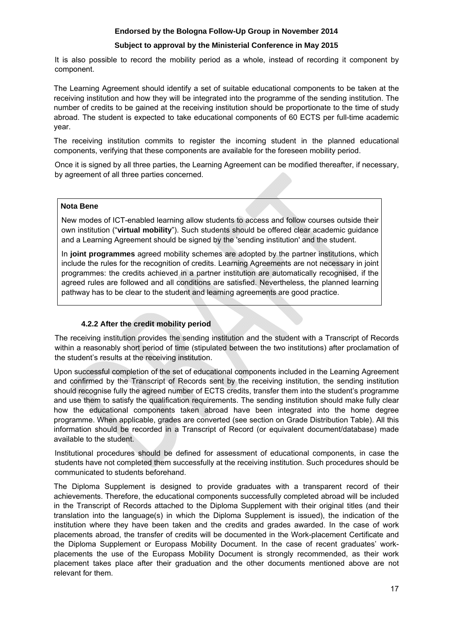## **Subject to approval by the Ministerial Conference in May 2015**

It is also possible to record the mobility period as a whole, instead of recording it component by component.

The Learning Agreement should identify a set of suitable educational components to be taken at the receiving institution and how they will be integrated into the programme of the sending institution. The number of credits to be gained at the receiving institution should be proportionate to the time of study abroad. The student is expected to take educational components of 60 ECTS per full-time academic year.

The receiving institution commits to register the incoming student in the planned educational components, verifying that these components are available for the foreseen mobility period.

Once it is signed by all three parties, the Learning Agreement can be modified thereafter, if necessary, by agreement of all three parties concerned.

## **Nota Bene**

New modes of ICT-enabled learning allow students to access and follow courses outside their own institution ("**virtual mobility**"). Such students should be offered clear academic guidance and a Learning Agreement should be signed by the 'sending institution' and the student.

In **joint programmes** agreed mobility schemes are adopted by the partner institutions, which include the rules for the recognition of credits. Learning Agreements are not necessary in joint programmes: the credits achieved in a partner institution are automatically recognised, if the agreed rules are followed and all conditions are satisfied. Nevertheless, the planned learning pathway has to be clear to the student and learning agreements are good practice.

## **4.2.2 After the credit mobility period**

The receiving institution provides the sending institution and the student with a Transcript of Records within a reasonably short period of time (stipulated between the two institutions) after proclamation of the student's results at the receiving institution.

Upon successful completion of the set of educational components included in the Learning Agreement and confirmed by the Transcript of Records sent by the receiving institution, the sending institution should recognise fully the agreed number of ECTS credits, transfer them into the student's programme and use them to satisfy the qualification requirements. The sending institution should make fully clear how the educational components taken abroad have been integrated into the home degree programme. When applicable, grades are converted (see section on Grade Distribution Table). All this information should be recorded in a Transcript of Record (or equivalent document/database) made available to the student.

Institutional procedures should be defined for assessment of educational components, in case the students have not completed them successfully at the receiving institution. Such procedures should be communicated to students beforehand.

The Diploma Supplement is designed to provide graduates with a transparent record of their achievements. Therefore, the educational components successfully completed abroad will be included in the Transcript of Records attached to the Diploma Supplement with their original titles (and their translation into the language(s) in which the Diploma Supplement is issued), the indication of the institution where they have been taken and the credits and grades awarded. In the case of work placements abroad, the transfer of credits will be documented in the Work-placement Certificate and the Diploma Supplement or Europass Mobility Document. In the case of recent graduates' workplacements the use of the Europass Mobility Document is strongly recommended, as their work placement takes place after their graduation and the other documents mentioned above are not relevant for them.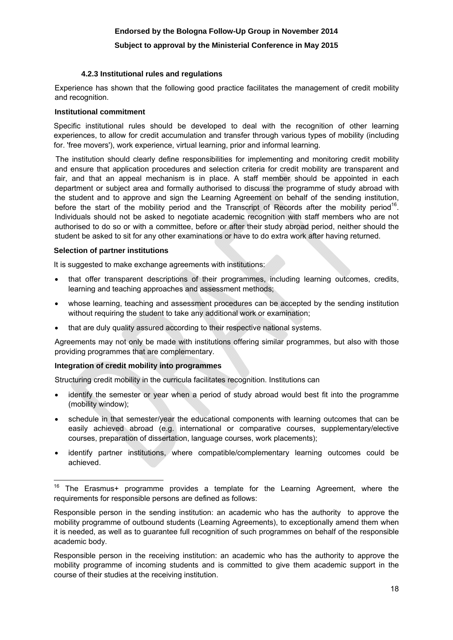## **Subject to approval by the Ministerial Conference in May 2015**

#### **4.2.3 Institutional rules and regulations**

Experience has shown that the following good practice facilitates the management of credit mobility and recognition.

#### **Institutional commitment**

Specific institutional rules should be developed to deal with the recognition of other learning experiences, to allow for credit accumulation and transfer through various types of mobility (including for. 'free movers'), work experience, virtual learning, prior and informal learning.

The institution should clearly define responsibilities for implementing and monitoring credit mobility and ensure that application procedures and selection criteria for credit mobility are transparent and fair, and that an appeal mechanism is in place. A staff member should be appointed in each department or subject area and formally authorised to discuss the programme of study abroad with the student and to approve and sign the Learning Agreement on behalf of the sending institution, before the start of the mobility period and the Transcript of Records after the mobility period<sup>16</sup>. Individuals should not be asked to negotiate academic recognition with staff members who are not authorised to do so or with a committee, before or after their study abroad period, neither should the student be asked to sit for any other examinations or have to do extra work after having returned.

#### **Selection of partner institutions**

**.** 

It is suggested to make exchange agreements with institutions:

- that offer transparent descriptions of their programmes, including learning outcomes, credits, learning and teaching approaches and assessment methods;
- whose learning, teaching and assessment procedures can be accepted by the sending institution without requiring the student to take any additional work or examination;
- that are duly quality assured according to their respective national systems.

Agreements may not only be made with institutions offering similar programmes, but also with those providing programmes that are complementary.

## **Integration of credit mobility into programmes**

Structuring credit mobility in the curricula facilitates recognition. Institutions can

- identify the semester or year when a period of study abroad would best fit into the programme (mobility window);
- schedule in that semester/year the educational components with learning outcomes that can be easily achieved abroad (e.g. international or comparative courses, supplementary/elective courses, preparation of dissertation, language courses, work placements);
- identify partner institutions, where compatible/complementary learning outcomes could be achieved.

Responsible person in the receiving institution: an academic who has the authority to approve the mobility programme of incoming students and is committed to give them academic support in the course of their studies at the receiving institution.

 $16$  The Erasmus+ programme provides a template for the Learning Agreement, where the requirements for responsible persons are defined as follows:

Responsible person in the sending institution: an academic who has the authority to approve the mobility programme of outbound students (Learning Agreements), to exceptionally amend them when it is needed, as well as to guarantee full recognition of such programmes on behalf of the responsible academic body.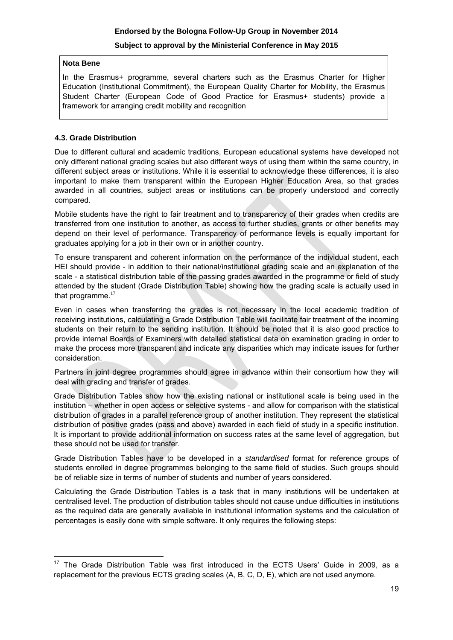## **Nota Bene**

In the Erasmus+ programme, several charters such as the Erasmus Charter for Higher Education (Institutional Commitment), the European Quality Charter for Mobility, the Erasmus Student Charter (European Code of Good Practice for Erasmus+ students) provide a framework for arranging credit mobility and recognition

## **4.3. Grade Distribution**

Due to different cultural and academic traditions, European educational systems have developed not only different national grading scales but also different ways of using them within the same country, in different subject areas or institutions. While it is essential to acknowledge these differences, it is also important to make them transparent within the European Higher Education Area, so that grades awarded in all countries, subject areas or institutions can be properly understood and correctly compared.

Mobile students have the right to fair treatment and to transparency of their grades when credits are transferred from one institution to another, as access to further studies, grants or other benefits may depend on their level of performance. Transparency of performance levels is equally important for graduates applying for a job in their own or in another country.

To ensure transparent and coherent information on the performance of the individual student, each HEI should provide - in addition to their national/institutional grading scale and an explanation of the scale - a statistical distribution table of the passing grades awarded in the programme or field of study attended by the student (Grade Distribution Table) showing how the grading scale is actually used in that programme. $17$ 

Even in cases when transferring the grades is not necessary in the local academic tradition of receiving institutions, calculating a Grade Distribution Table will facilitate fair treatment of the incoming students on their return to the sending institution. It should be noted that it is also good practice to provide internal Boards of Examiners with detailed statistical data on examination grading in order to make the process more transparent and indicate any disparities which may indicate issues for further consideration.

Partners in joint degree programmes should agree in advance within their consortium how they will deal with grading and transfer of grades.

Grade Distribution Tables show how the existing national or institutional scale is being used in the institution – whether in open access or selective systems - and allow for comparison with the statistical distribution of grades in a parallel reference group of another institution. They represent the statistical distribution of positive grades (pass and above) awarded in each field of study in a specific institution. It is important to provide additional information on success rates at the same level of aggregation, but these should not be used for transfer.

Grade Distribution Tables have to be developed in a *standardised* format for reference groups of students enrolled in degree programmes belonging to the same field of studies. Such groups should be of reliable size in terms of number of students and number of years considered.

Calculating the Grade Distribution Tables is a task that in many institutions will be undertaken at centralised level. The production of distribution tables should not cause undue difficulties in institutions as the required data are generally available in institutional information systems and the calculation of percentages is easily done with simple software. It only requires the following steps:

**<sup>.</sup>**  $17$  The Grade Distribution Table was first introduced in the ECTS Users' Guide in 2009, as a replacement for the previous ECTS grading scales (A, B, C, D, E), which are not used anymore.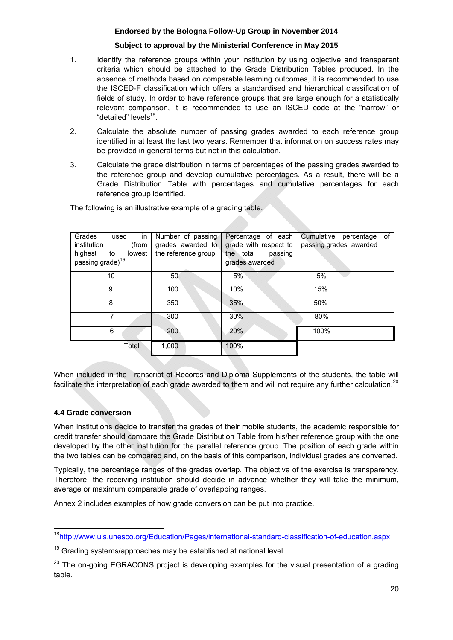## **Subject to approval by the Ministerial Conference in May 2015**

- 1. Identify the reference groups within your institution by using objective and transparent criteria which should be attached to the Grade Distribution Tables produced. In the absence of methods based on comparable learning outcomes, it is recommended to use the ISCED-F classification which offers a standardised and hierarchical classification of fields of study. In order to have reference groups that are large enough for a statistically relevant comparison, it is recommended to use an ISCED code at the "narrow" or "detailed" levels $^{18}$ .
- 2. Calculate the absolute number of passing grades awarded to each reference group identified in at least the last two years. Remember that information on success rates may be provided in general terms but not in this calculation.
- 3. Calculate the grade distribution in terms of percentages of the passing grades awarded to the reference group and develop cumulative percentages. As a result, there will be a Grade Distribution Table with percentages and cumulative percentages for each reference group identified.

| Grades<br>used<br>in<br>(from<br>institution<br>highest<br>$\mathsf{to}$<br>lowest<br>passing grade) <sup>19</sup> | Number of passing<br>grades awarded to<br>the reference group | Percentage of each<br>grade with respect to<br>the total<br>passing<br>grades awarded | Cumulative<br>percentage<br>of<br>passing grades awarded |
|--------------------------------------------------------------------------------------------------------------------|---------------------------------------------------------------|---------------------------------------------------------------------------------------|----------------------------------------------------------|
| 10                                                                                                                 | 50                                                            | 5%                                                                                    | 5%                                                       |
| 9                                                                                                                  | 100                                                           | 10%                                                                                   | 15%                                                      |
| 8                                                                                                                  | 350                                                           | 35%                                                                                   | 50%                                                      |
| 7                                                                                                                  | 300                                                           | 30%                                                                                   | 80%                                                      |
| 6                                                                                                                  | 200                                                           | 20%                                                                                   | 100%                                                     |
| Total:                                                                                                             | 1,000                                                         | 100%                                                                                  |                                                          |

The following is an illustrative example of a grading table.

When included in the Transcript of Records and Diploma Supplements of the students, the table will facilitate the interpretation of each grade awarded to them and will not require any further calculation.<sup>20</sup>

## **4.4 Grade conversion**

When institutions decide to transfer the grades of their mobile students, the academic responsible for credit transfer should compare the Grade Distribution Table from his/her reference group with the one developed by the other institution for the parallel reference group. The position of each grade within the two tables can be compared and, on the basis of this comparison, individual grades are converted.

Typically, the percentage ranges of the grades overlap. The objective of the exercise is transparency. Therefore, the receiving institution should decide in advance whether they will take the minimum, average or maximum comparable grade of overlapping ranges.

Annex 2 includes examples of how grade conversion can be put into practice.

 $\overline{a}$ <sup>18</sup>http://www.uis.unesco.org/Education/Pages/international-standard-classification-of-education.aspx

 $19$  Grading systems/approaches may be established at national level.

 $20$  The on-going EGRACONS project is developing examples for the visual presentation of a grading table.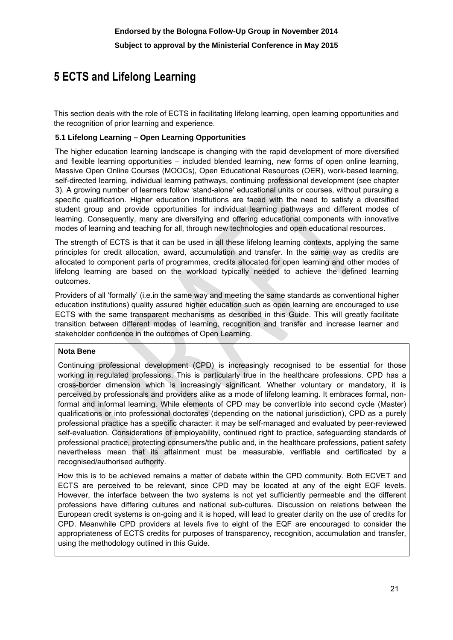# **5 ECTS and Lifelong Learning**

This section deals with the role of ECTS in facilitating lifelong learning, open learning opportunities and the recognition of prior learning and experience.

## **5.1 Lifelong Learning – Open Learning Opportunities**

The higher education learning landscape is changing with the rapid development of more diversified and flexible learning opportunities – included blended learning, new forms of open online learning, Massive Open Online Courses (MOOCs), Open Educational Resources (OER), work-based learning, self-directed learning, individual learning pathways, continuing professional development (see chapter 3). A growing number of learners follow 'stand-alone' educational units or courses, without pursuing a specific qualification. Higher education institutions are faced with the need to satisfy a diversified student group and provide opportunities for individual learning pathways and different modes of learning. Consequently, many are diversifying and offering educational components with innovative modes of learning and teaching for all, through new technologies and open educational resources.

The strength of ECTS is that it can be used in all these lifelong learning contexts, applying the same principles for credit allocation, award, accumulation and transfer. In the same way as credits are allocated to component parts of programmes, credits allocated for open learning and other modes of lifelong learning are based on the workload typically needed to achieve the defined learning outcomes.

Providers of all 'formally' (i.e.in the same way and meeting the same standards as conventional higher education institutions) quality assured higher education such as open learning are encouraged to use ECTS with the same transparent mechanisms as described in this Guide. This will greatly facilitate transition between different modes of learning, recognition and transfer and increase learner and stakeholder confidence in the outcomes of Open Learning.

## **Nota Bene**

Continuing professional development (CPD) is increasingly recognised to be essential for those working in regulated professions. This is particularly true in the healthcare professions. CPD has a cross-border dimension which is increasingly significant. Whether voluntary or mandatory, it is perceived by professionals and providers alike as a mode of lifelong learning. It embraces formal, nonformal and informal learning. While elements of CPD may be convertible into second cycle (Master) qualifications or into professional doctorates (depending on the national jurisdiction), CPD as a purely professional practice has a specific character: it may be self-managed and evaluated by peer-reviewed self-evaluation. Considerations of employability, continued right to practice, safeguarding standards of professional practice, protecting consumers/the public and, in the healthcare professions, patient safety nevertheless mean that its attainment must be measurable, verifiable and certificated by a recognised/authorised authority.

How this is to be achieved remains a matter of debate within the CPD community. Both ECVET and ECTS are perceived to be relevant, since CPD may be located at any of the eight EQF levels. However, the interface between the two systems is not yet sufficiently permeable and the different professions have differing cultures and national sub-cultures. Discussion on relations between the European credit systems is on-going and it is hoped, will lead to greater clarity on the use of credits for CPD. Meanwhile CPD providers at levels five to eight of the EQF are encouraged to consider the appropriateness of ECTS credits for purposes of transparency, recognition, accumulation and transfer, using the methodology outlined in this Guide.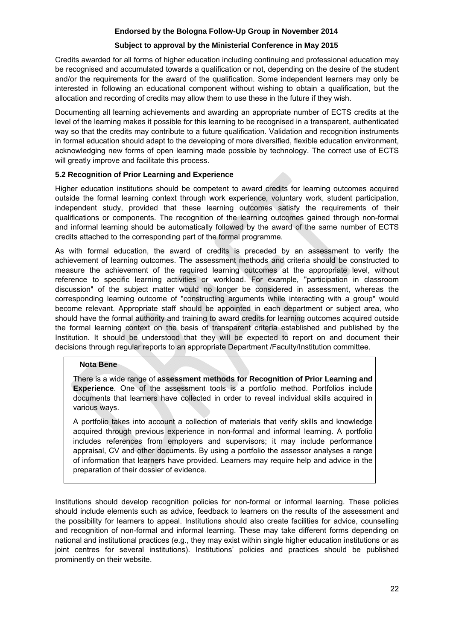## **Subject to approval by the Ministerial Conference in May 2015**

Credits awarded for all forms of higher education including continuing and professional education may be recognised and accumulated towards a qualification or not, depending on the desire of the student and/or the requirements for the award of the qualification. Some independent learners may only be interested in following an educational component without wishing to obtain a qualification, but the allocation and recording of credits may allow them to use these in the future if they wish.

Documenting all learning achievements and awarding an appropriate number of ECTS credits at the level of the learning makes it possible for this learning to be recognised in a transparent, authenticated way so that the credits may contribute to a future qualification. Validation and recognition instruments in formal education should adapt to the developing of more diversified, flexible education environment, acknowledging new forms of open learning made possible by technology. The correct use of ECTS will greatly improve and facilitate this process.

## **5.2 Recognition of Prior Learning and Experience**

Higher education institutions should be competent to award credits for learning outcomes acquired outside the formal learning context through work experience, voluntary work, student participation, independent study, provided that these learning outcomes satisfy the requirements of their qualifications or components. The recognition of the learning outcomes gained through non-formal and informal learning should be automatically followed by the award of the same number of ECTS credits attached to the corresponding part of the formal programme.

As with formal education, the award of credits is preceded by an assessment to verify the achievement of learning outcomes. The assessment methods and criteria should be constructed to measure the achievement of the required learning outcomes at the appropriate level, without reference to specific learning activities or workload. For example, "participation in classroom discussion" of the subject matter would no longer be considered in assessment, whereas the corresponding learning outcome of "constructing arguments while interacting with a group" would become relevant. Appropriate staff should be appointed in each department or subject area, who should have the formal authority and training to award credits for learning outcomes acquired outside the formal learning context on the basis of transparent criteria established and published by the Institution. It should be understood that they will be expected to report on and document their decisions through regular reports to an appropriate Department /Faculty/Institution committee.

## **Nota Bene**

There is a wide range of **assessment methods for Recognition of Prior Learning and Experience**. One of the assessment tools is a portfolio method. Portfolios include documents that learners have collected in order to reveal individual skills acquired in various ways.

A portfolio takes into account a collection of materials that verify skills and knowledge acquired through previous experience in non-formal and informal learning. A portfolio includes references from employers and supervisors; it may include performance appraisal, CV and other documents. By using a portfolio the assessor analyses a range of information that learners have provided. Learners may require help and advice in the preparation of their dossier of evidence.

Institutions should develop recognition policies for non-formal or informal learning. These policies should include elements such as advice, feedback to learners on the results of the assessment and the possibility for learners to appeal. Institutions should also create facilities for advice, counselling and recognition of non-formal and informal learning. These may take different forms depending on national and institutional practices (e.g., they may exist within single higher education institutions or as joint centres for several institutions). Institutions' policies and practices should be published prominently on their website.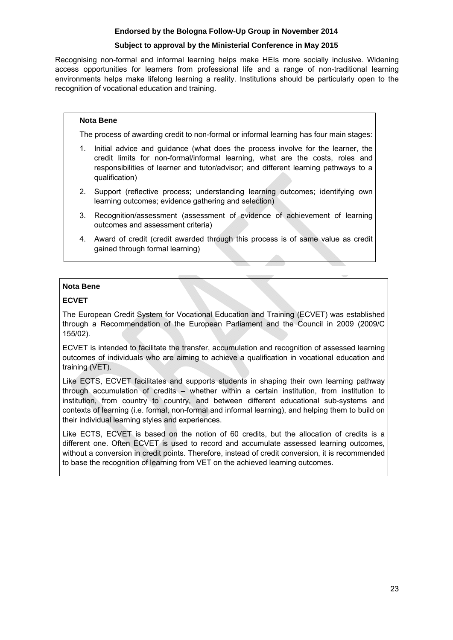## **Subject to approval by the Ministerial Conference in May 2015**

Recognising non-formal and informal learning helps make HEIs more socially inclusive. Widening access opportunities for learners from professional life and a range of non-traditional learning environments helps make lifelong learning a reality. Institutions should be particularly open to the recognition of vocational education and training.

## **Nota Bene**

The process of awarding credit to non-formal or informal learning has four main stages:

- 1. Initial advice and guidance (what does the process involve for the learner, the credit limits for non-formal/informal learning, what are the costs, roles and responsibilities of learner and tutor/advisor; and different learning pathways to a qualification)
- 2. Support (reflective process; understanding learning outcomes; identifying own learning outcomes; evidence gathering and selection)
- 3. Recognition/assessment (assessment of evidence of achievement of learning outcomes and assessment criteria)
- 4. Award of credit (credit awarded through this process is of same value as credit gained through formal learning)

## **Nota Bene**

## **ECVET**

The European Credit System for Vocational Education and Training (ECVET) was established through a Recommendation of the European Parliament and the Council in 2009 (2009/C 155/02).

ECVET is intended to facilitate the transfer, accumulation and recognition of assessed learning outcomes of individuals who are aiming to achieve a qualification in vocational education and training (VET).

Like ECTS, ECVET facilitates and supports students in shaping their own learning pathway through accumulation of credits – whether within a certain institution, from institution to institution, from country to country, and between different educational sub-systems and contexts of learning (i.e. formal, non-formal and informal learning), and helping them to build on their individual learning styles and experiences.

Like ECTS, ECVET is based on the notion of 60 credits, but the allocation of credits is a different one. Often ECVET is used to record and accumulate assessed learning outcomes, without a conversion in credit points. Therefore, instead of credit conversion, it is recommended to base the recognition of learning from VET on the achieved learning outcomes.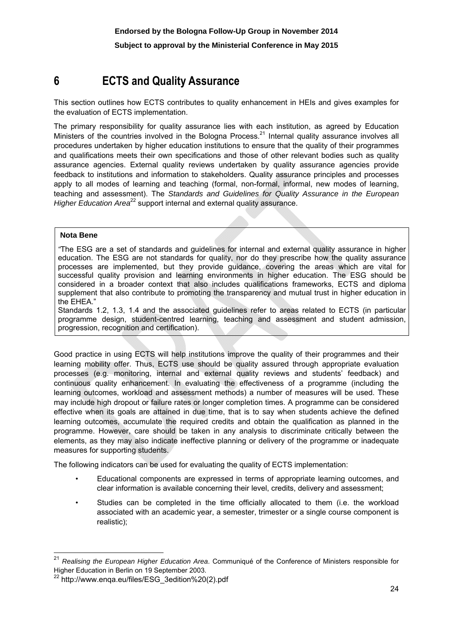# **6 ECTS and Quality Assurance**

This section outlines how ECTS contributes to quality enhancement in HEIs and gives examples for the evaluation of ECTS implementation.

The primary responsibility for quality assurance lies with each institution, as agreed by Education Ministers of the countries involved in the Bologna Process.<sup>21</sup> Internal quality assurance involves all procedures undertaken by higher education institutions to ensure that the quality of their programmes and qualifications meets their own specifications and those of other relevant bodies such as quality assurance agencies. External quality reviews undertaken by quality assurance agencies provide feedback to institutions and information to stakeholders. Quality assurance principles and processes apply to all modes of learning and teaching (formal, non-formal, informal, new modes of learning, teaching and assessment). The *Standards and Guidelines for Quality Assurance in the European Higher Education Area*<sup>22</sup> support internal and external quality assurance.

#### **Nota Bene**

**.** 

*"*The ESG are a set of standards and guidelines for internal and external quality assurance in higher education. The ESG are not standards for quality, nor do they prescribe how the quality assurance processes are implemented, but they provide guidance, covering the areas which are vital for successful quality provision and learning environments in higher education. The ESG should be considered in a broader context that also includes qualifications frameworks, ECTS and diploma supplement that also contribute to promoting the transparency and mutual trust in higher education in the EHEA."

Standards 1.2, 1.3, 1.4 and the associated guidelines refer to areas related to ECTS (in particular programme design, student-centred learning, teaching and assessment and student admission, progression, recognition and certification).

Good practice in using ECTS will help institutions improve the quality of their programmes and their learning mobility offer. Thus, ECTS use should be quality assured through appropriate evaluation processes (e.g. monitoring, internal and external quality reviews and students' feedback) and continuous quality enhancement. In evaluating the effectiveness of a programme (including the learning outcomes, workload and assessment methods) a number of measures will be used. These may include high dropout or failure rates or longer completion times. A programme can be considered effective when its goals are attained in due time, that is to say when students achieve the defined learning outcomes, accumulate the required credits and obtain the qualification as planned in the programme. However, care should be taken in any analysis to discriminate critically between the elements, as they may also indicate ineffective planning or delivery of the programme or inadequate measures for supporting students.

The following indicators can be used for evaluating the quality of ECTS implementation:

- Educational components are expressed in terms of appropriate learning outcomes, and clear information is available concerning their level, credits, delivery and assessment;
- Studies can be completed in the time officially allocated to them (i.e. the workload associated with an academic year, a semester, trimester or a single course component is realistic);

<sup>21</sup> *Realising the European Higher Education Area*. Communiqué of the Conference of Ministers responsible for Higher Education in Berlin on 19 September 2003.

<sup>&</sup>lt;sup>22</sup> http://www.enga.eu/files/ESG\_3edition%20(2).pdf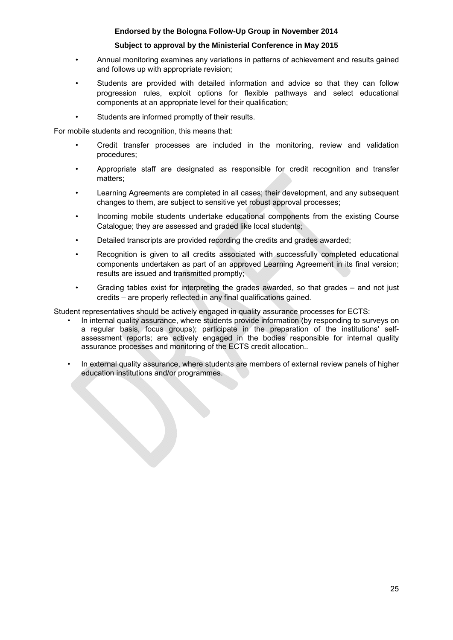## **Subject to approval by the Ministerial Conference in May 2015**

- Annual monitoring examines any variations in patterns of achievement and results gained and follows up with appropriate revision;
- Students are provided with detailed information and advice so that they can follow progression rules, exploit options for flexible pathways and select educational components at an appropriate level for their qualification;
- Students are informed promptly of their results.

For mobile students and recognition, this means that:

- Credit transfer processes are included in the monitoring, review and validation procedures;
- Appropriate staff are designated as responsible for credit recognition and transfer matters;
- Learning Agreements are completed in all cases; their development, and any subsequent changes to them, are subject to sensitive yet robust approval processes;
- Incoming mobile students undertake educational components from the existing Course Catalogue; they are assessed and graded like local students;
- Detailed transcripts are provided recording the credits and grades awarded;
- Recognition is given to all credits associated with successfully completed educational components undertaken as part of an approved Learning Agreement in its final version; results are issued and transmitted promptly;
- Grading tables exist for interpreting the grades awarded, so that grades and not just credits – are properly reflected in any final qualifications gained.

Student representatives should be actively engaged in quality assurance processes for ECTS:

- In internal quality assurance, where students provide information (by responding to surveys on a regular basis, focus groups); participate in the preparation of the institutions' selfassessment reports; are actively engaged in the bodies responsible for internal quality assurance processes and monitoring of the ECTS credit allocation..
- In external quality assurance, where students are members of external review panels of higher education institutions and/or programmes.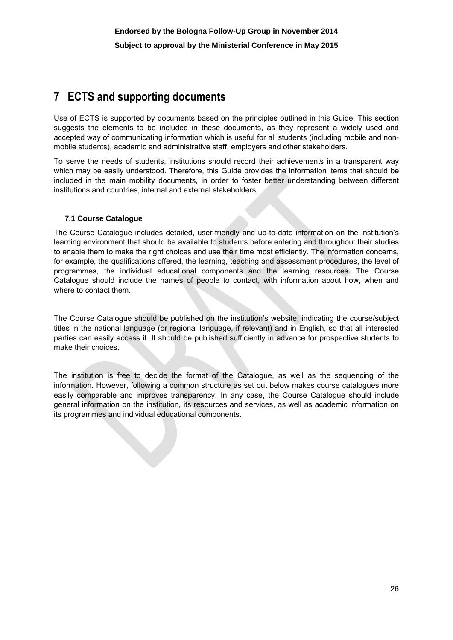# **7 ECTS and supporting documents**

Use of ECTS is supported by documents based on the principles outlined in this Guide. This section suggests the elements to be included in these documents, as they represent a widely used and accepted way of communicating information which is useful for all students (including mobile and nonmobile students), academic and administrative staff, employers and other stakeholders.

To serve the needs of students, institutions should record their achievements in a transparent way which may be easily understood. Therefore, this Guide provides the information items that should be included in the main mobility documents, in order to foster better understanding between different institutions and countries, internal and external stakeholders.

## **7.1 Course Catalogue**

The Course Catalogue includes detailed, user-friendly and up-to-date information on the institution's learning environment that should be available to students before entering and throughout their studies to enable them to make the right choices and use their time most efficiently. The information concerns, for example, the qualifications offered, the learning, teaching and assessment procedures, the level of programmes, the individual educational components and the learning resources. The Course Catalogue should include the names of people to contact, with information about how, when and where to contact them.

The Course Catalogue should be published on the institution's website, indicating the course/subject titles in the national language (or regional language, if relevant) and in English, so that all interested parties can easily access it. It should be published sufficiently in advance for prospective students to make their choices.

The institution is free to decide the format of the Catalogue, as well as the sequencing of the information. However, following a common structure as set out below makes course catalogues more easily comparable and improves transparency. In any case, the Course Catalogue should include general information on the institution, its resources and services, as well as academic information on its programmes and individual educational components.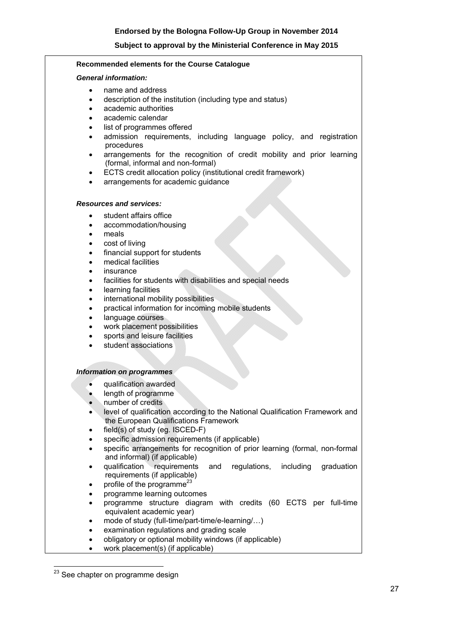#### **Recommended elements for the Course Catalogue**

#### *General information:*

- name and address
- description of the institution (including type and status)
- academic authorities
- academic calendar
- list of programmes offered
- admission requirements, including language policy, and registration procedures
- arrangements for the recognition of credit mobility and prior learning (formal, informal and non-formal)
- ECTS credit allocation policy (institutional credit framework)
- arrangements for academic quidance

#### *Resources and services:*

- student affairs office
- accommodation/housing
- meals
- cost of living
- financial support for students
- medical facilities
- insurance
- facilities for students with disabilities and special needs
- learning facilities
- international mobility possibilities
- practical information for incoming mobile students
- language courses
- work placement possibilities
- sports and leisure facilities
- student associations

#### *Information on programmes*

- qualification awarded
- length of programme
- number of credits
- level of qualification according to the National Qualification Framework and the European Qualifications Framework
- field(s) of study (eq. ISCED-F)
- specific admission requirements (if applicable)
- specific arrangements for recognition of prior learning (formal, non-formal and informal) (if applicable)
- qualification requirements and regulations, including graduation requirements (if applicable)
- profile of the programme<sup>23</sup>
- programme learning outcomes
- programme structure diagram with credits (60 ECTS per full-time equivalent academic year)
- mode of study (full-time/part-time/e-learning/...)
- examination regulations and grading scale
- obligatory or optional mobility windows (if applicable)
- work placement(s) (if applicable)

<sup>&</sup>lt;sup>23</sup> See chapter on programme design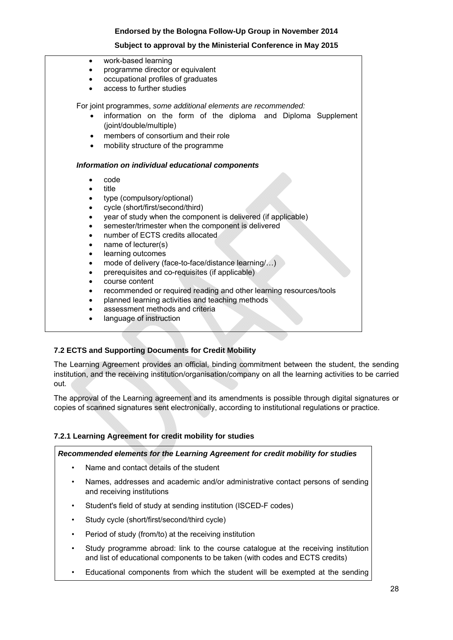## **Subject to approval by the Ministerial Conference in May 2015**

- work-based learning
- programme director or equivalent
- occupational profiles of graduates
- access to further studies

For joint programmes, *some additional elements are recommended:*

- information on the form of the diploma and Diploma Supplement (joint/double/multiple)
- members of consortium and their role
- mobility structure of the programme

#### *Information on individual educational components*

- code
- title
- type (compulsory/optional)
- cycle (short/first/second/third)
- year of study when the component is delivered (if applicable)
- semester/trimester when the component is delivered
- number of ECTS credits allocated
- name of lecturer(s)
- learning outcomes
- mode of delivery (face-to-face/distance learning/...)
- prerequisites and co-requisites (if applicable)
- course content
- recommended or required reading and other learning resources/tools
- planned learning activities and teaching methods
- assessment methods and criteria
- language of instruction

## **7.2 ECTS and Supporting Documents for Credit Mobility**

The Learning Agreement provides an official, binding commitment between the student, the sending institution, and the receiving institution/organisation/company on all the learning activities to be carried out.

The approval of the Learning agreement and its amendments is possible through digital signatures or copies of scanned signatures sent electronically, according to institutional regulations or practice.

## **7.2.1 Learning Agreement for credit mobility for studies**

## *Recommended elements for the Learning Agreement for credit mobility for studies*

- Name and contact details of the student
- Names, addresses and academic and/or administrative contact persons of sending and receiving institutions
- Student's field of study at sending institution (ISCED-F codes)
- Study cycle (short/first/second/third cycle)
- Period of study (from/to) at the receiving institution
- Study programme abroad: link to the course catalogue at the receiving institution and list of educational components to be taken (with codes and ECTS credits)
- Educational components from which the student will be exempted at the sending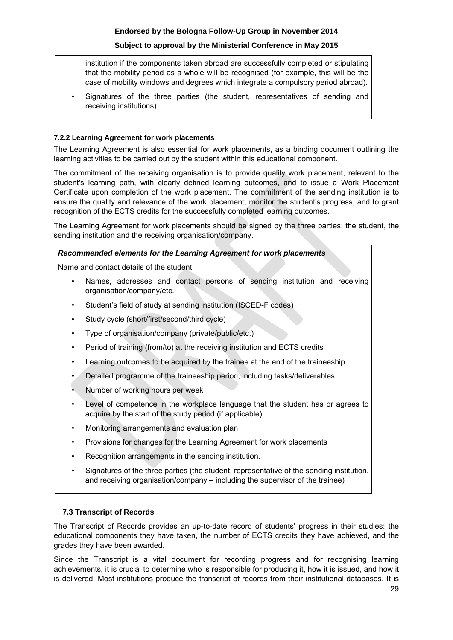## **Subject to approval by the Ministerial Conference in May 2015**

institution if the components taken abroad are successfully completed or stipulating that the mobility period as a whole will be recognised (for example, this will be the case of mobility windows and degrees which integrate a compulsory period abroad).

• Signatures of the three parties (the student, representatives of sending and receiving institutions)

#### **7.2.2 Learning Agreement for work placements**

The Learning Agreement is also essential for work placements, as a binding document outlining the learning activities to be carried out by the student within this educational component.

The commitment of the receiving organisation is to provide quality work placement, relevant to the student's learning path, with clearly defined learning outcomes, and to issue a Work Placement Certificate upon completion of the work placement. The commitment of the sending institution is to ensure the quality and relevance of the work placement, monitor the student's progress, and to grant recognition of the ECTS credits for the successfully completed learning outcomes.

The Learning Agreement for work placements should be signed by the three parties: the student, the sending institution and the receiving organisation/company.

## *Recommended elements for the Learning Agreement for work placements*

Name and contact details of the student

- Names, addresses and contact persons of sending institution and receiving organisation/company/etc.
- Student's field of study at sending institution (ISCED-F codes)
- Study cycle (short/first/second/third cycle)
- Type of organisation/company (private/public/etc.)
- Period of training (from/to) at the receiving institution and ECTS credits
- Learning outcomes to be acquired by the trainee at the end of the traineeship
- Detailed programme of the traineeship period, including tasks/deliverables
- Number of working hours per week
- Level of competence in the workplace language that the student has or agrees to acquire by the start of the study period (if applicable)
- Monitoring arrangements and evaluation plan
- Provisions for changes for the Learning Agreement for work placements
- Recognition arrangements in the sending institution.
- Signatures of the three parties (the student, representative of the sending institution, and receiving organisation/company – including the supervisor of the trainee)

#### **7.3 Transcript of Records**

The Transcript of Records provides an up-to-date record of students' progress in their studies: the educational components they have taken, the number of ECTS credits they have achieved, and the grades they have been awarded.

Since the Transcript is a vital document for recording progress and for recognising learning achievements, it is crucial to determine who is responsible for producing it, how it is issued, and how it is delivered. Most institutions produce the transcript of records from their institutional databases. It is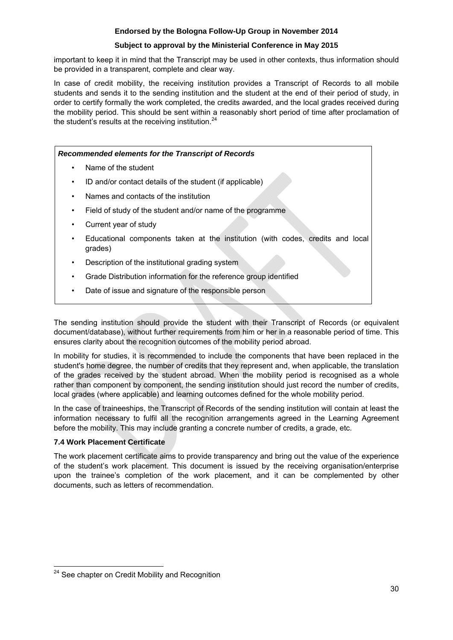## **Subject to approval by the Ministerial Conference in May 2015**

important to keep it in mind that the Transcript may be used in other contexts, thus information should be provided in a transparent, complete and clear way.

In case of credit mobility, the receiving institution provides a Transcript of Records to all mobile students and sends it to the sending institution and the student at the end of their period of study, in order to certify formally the work completed, the credits awarded, and the local grades received during the mobility period. This should be sent within a reasonably short period of time after proclamation of the student's results at the receiving institution.<sup>24</sup>

# *Recommended elements for the Transcript of Records*  • Name of the student • ID and/or contact details of the student (if applicable) • Names and contacts of the institution • Field of study of the student and/or name of the programme • Current year of study • Educational components taken at the institution (with codes, credits and local grades) • Description of the institutional grading system • Grade Distribution information for the reference group identified Date of issue and signature of the responsible person

The sending institution should provide the student with their Transcript of Records (or equivalent document/database), without further requirements from him or her in a reasonable period of time. This ensures clarity about the recognition outcomes of the mobility period abroad.

In mobility for studies, it is recommended to include the components that have been replaced in the student's home degree, the number of credits that they represent and, when applicable, the translation of the grades received by the student abroad. When the mobility period is recognised as a whole rather than component by component, the sending institution should just record the number of credits, local grades (where applicable) and learning outcomes defined for the whole mobility period.

In the case of traineeships, the Transcript of Records of the sending institution will contain at least the information necessary to fulfil all the recognition arrangements agreed in the Learning Agreement before the mobility. This may include granting a concrete number of credits, a grade, etc.

## **7.4 Work Placement Certificate**

The work placement certificate aims to provide transparency and bring out the value of the experience of the student's work placement. This document is issued by the receiving organisation/enterprise upon the trainee's completion of the work placement, and it can be complemented by other documents, such as letters of recommendation.

  $24$  See chapter on Credit Mobility and Recognition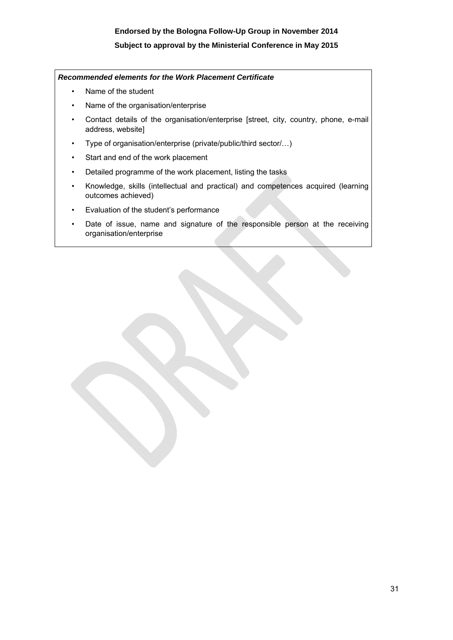## **Subject to approval by the Ministerial Conference in May 2015**

#### *Recommended elements for the Work Placement Certificate*

- Name of the student
- Name of the organisation/enterprise
- Contact details of the organisation/enterprise [street, city, country, phone, e-mail address, website]
- Type of organisation/enterprise (private/public/third sector/…)
- Start and end of the work placement
- Detailed programme of the work placement, listing the tasks
- Knowledge, skills (intellectual and practical) and competences acquired (learning outcomes achieved)
- Evaluation of the student's performance
- Date of issue, name and signature of the responsible person at the receiving organisation/enterprise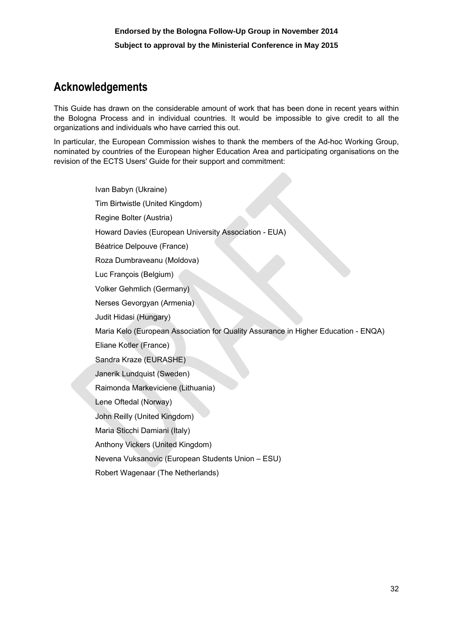# **Acknowledgements**

This Guide has drawn on the considerable amount of work that has been done in recent years within the Bologna Process and in individual countries. It would be impossible to give credit to all the organizations and individuals who have carried this out.

In particular, the European Commission wishes to thank the members of the Ad-hoc Working Group, nominated by countries of the European higher Education Area and participating organisations on the revision of the ECTS Users' Guide for their support and commitment:

> Ivan Babyn (Ukraine) Tim Birtwistle (United Kingdom) Regine Bolter (Austria) Howard Davies (European University Association - EUA) Béatrice Delpouve (France) Roza Dumbraveanu (Moldova) Luc François (Belgium) Volker Gehmlich (Germany) Nerses Gevorgyan (Armenia) Judit Hidasi (Hungary) Maria Kelo (European Association for Quality Assurance in Higher Education - ENQA) Eliane Kotler (France) Sandra Kraze (EURASHE) Janerik Lundquist (Sweden) Raimonda Markeviciene (Lithuania) Lene Oftedal (Norway) John Reilly (United Kingdom) Maria Sticchi Damiani (Italy) Anthony Vickers (United Kingdom) Nevena Vuksanovic (European Students Union – ESU) Robert Wagenaar (The Netherlands)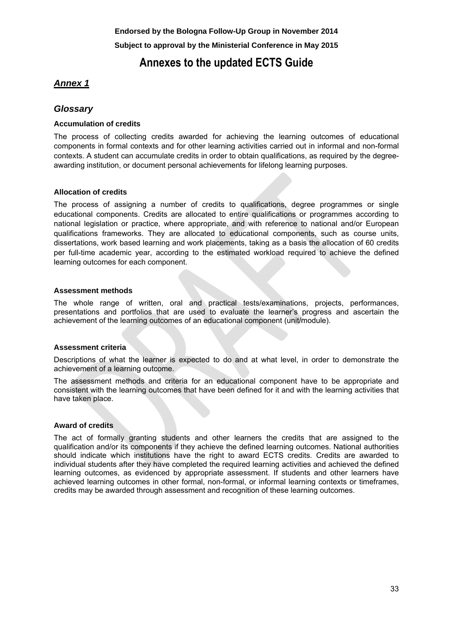## **Annexes to the updated ECTS Guide**

## *Annex 1*

## *Glossary*

## **Accumulation of credits**

The process of collecting credits awarded for achieving the learning outcomes of educational components in formal contexts and for other learning activities carried out in informal and non-formal contexts. A student can accumulate credits in order to obtain qualifications, as required by the degreeawarding institution, or document personal achievements for lifelong learning purposes.

## **Allocation of credits**

The process of assigning a number of credits to qualifications, degree programmes or single educational components. Credits are allocated to entire qualifications or programmes according to national legislation or practice, where appropriate, and with reference to national and/or European qualifications frameworks. They are allocated to educational components, such as course units, dissertations, work based learning and work placements, taking as a basis the allocation of 60 credits per full-time academic year, according to the estimated workload required to achieve the defined learning outcomes for each component.

## **Assessment methods**

The whole range of written, oral and practical tests/examinations, projects, performances, presentations and portfolios that are used to evaluate the learner's progress and ascertain the achievement of the learning outcomes of an educational component (unit/module).

## **Assessment criteria**

Descriptions of what the learner is expected to do and at what level, in order to demonstrate the achievement of a learning outcome.

The assessment methods and criteria for an educational component have to be appropriate and consistent with the learning outcomes that have been defined for it and with the learning activities that have taken place.

## **Award of credits**

The act of formally granting students and other learners the credits that are assigned to the qualification and/or its components if they achieve the defined learning outcomes. National authorities should indicate which institutions have the right to award ECTS credits. Credits are awarded to individual students after they have completed the required learning activities and achieved the defined learning outcomes, as evidenced by appropriate assessment. If students and other learners have achieved learning outcomes in other formal, non-formal, or informal learning contexts or timeframes, credits may be awarded through assessment and recognition of these learning outcomes.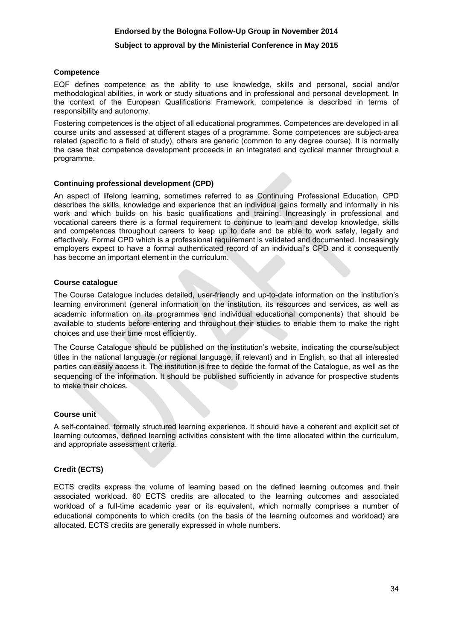#### **Subject to approval by the Ministerial Conference in May 2015**

#### **Competence**

EQF defines competence as the ability to use knowledge, skills and personal, social and/or methodological abilities, in work or study situations and in professional and personal development. In the context of the European Qualifications Framework, competence is described in terms of responsibility and autonomy.

Fostering competences is the object of all educational programmes. Competences are developed in all course units and assessed at different stages of a programme. Some competences are subject-area related (specific to a field of study), others are generic (common to any degree course). It is normally the case that competence development proceeds in an integrated and cyclical manner throughout a programme.

#### **Continuing professional development (CPD)**

An aspect of lifelong learning, sometimes referred to as Continuing Professional Education, CPD describes the skills, knowledge and experience that an individual gains formally and informally in his work and which builds on his basic qualifications and training. Increasingly in professional and vocational careers there is a formal requirement to continue to learn and develop knowledge, skills and competences throughout careers to keep up to date and be able to work safely, legally and effectively. Formal CPD which is a professional requirement is validated and documented. Increasingly employers expect to have a formal authenticated record of an individual's CPD and it consequently has become an important element in the curriculum.

#### **Course catalogue**

The Course Catalogue includes detailed, user-friendly and up-to-date information on the institution's learning environment (general information on the institution, its resources and services, as well as academic information on its programmes and individual educational components) that should be available to students before entering and throughout their studies to enable them to make the right choices and use their time most efficiently.

The Course Catalogue should be published on the institution's website, indicating the course/subject titles in the national language (or regional language, if relevant) and in English, so that all interested parties can easily access it. The institution is free to decide the format of the Catalogue, as well as the sequencing of the information. It should be published sufficiently in advance for prospective students to make their choices.

## **Course unit**

A self-contained, formally structured learning experience. It should have a coherent and explicit set of learning outcomes, defined learning activities consistent with the time allocated within the curriculum, and appropriate assessment criteria.

## **Credit (ECTS)**

ECTS credits express the volume of learning based on the defined learning outcomes and their associated workload. 60 ECTS credits are allocated to the learning outcomes and associated workload of a full-time academic year or its equivalent, which normally comprises a number of educational components to which credits (on the basis of the learning outcomes and workload) are allocated. ECTS credits are generally expressed in whole numbers.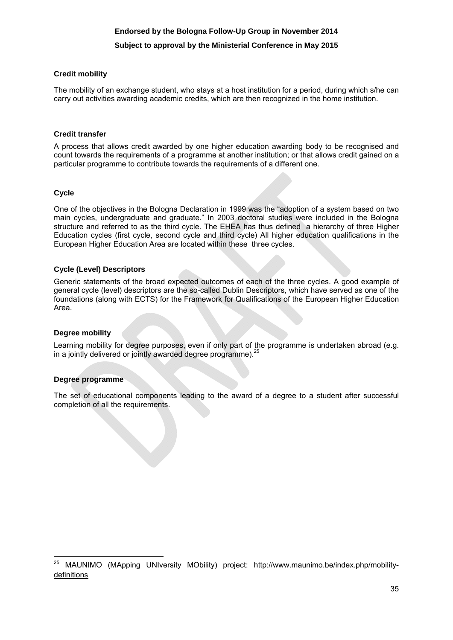## **Subject to approval by the Ministerial Conference in May 2015**

#### **Credit mobility**

The mobility of an exchange student, who stays at a host institution for a period, during which s/he can carry out activities awarding academic credits, which are then recognized in the home institution.

#### **Credit transfer**

A process that allows credit awarded by one higher education awarding body to be recognised and count towards the requirements of a programme at another institution; or that allows credit gained on a particular programme to contribute towards the requirements of a different one.

#### **Cycle**

One of the objectives in the Bologna Declaration in 1999 was the "adoption of a system based on two main cycles, undergraduate and graduate." In 2003 doctoral studies were included in the Bologna structure and referred to as the third cycle. The EHEA has thus defined a hierarchy of three Higher Education cycles (first cycle, second cycle and third cycle) All higher education qualifications in the European Higher Education Area are located within these three cycles.

#### **Cycle (Level) Descriptors**

Generic statements of the broad expected outcomes of each of the three cycles. A good example of general cycle (level) descriptors are the so-called Dublin Descriptors, which have served as one of the foundations (along with ECTS) for the Framework for Qualifications of the European Higher Education Area.

#### **Degree mobility**

Learning mobility for degree purposes, even if only part o[f the programme is undertaken abroad \(e.g.](http://www.maunimo.be/index.php/mobility-definitions)  in a jointly delivered or jointly awarded degree programme).<sup>25</sup>

## **Degree programme**

The set of educational components leading to the award of a degree to a student after successful completion of all the requirements.

**<sup>.</sup>** <sup>25</sup> MAUNIMO (MApping UNIversity MObility) project: http://www.maunimo.be/index.php/mobility[definitions](http://www.maunimo.be/index.php/mobility-definitions)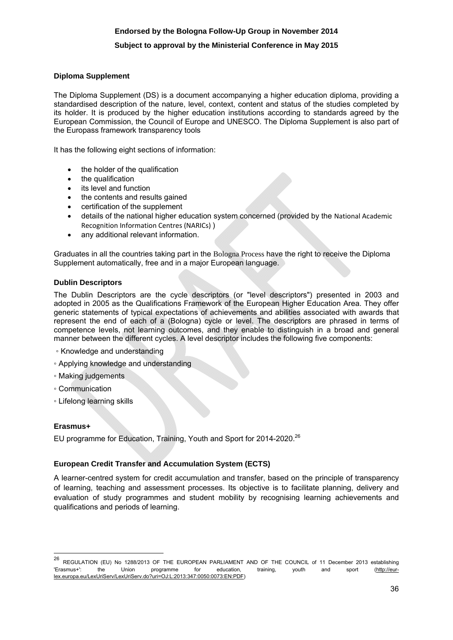## **Subject to approval by the Ministerial Conference in May 2015**

#### **Diploma Supplement**

The Diploma Supplement (DS) is a document accompanying a higher education diploma, providing a standardised description of the nature, level, context, content and status of the studies completed by its holder. It is produced by the higher education institutions according to standards agreed by the European Commission, the Council of Europe and UNESCO. The Diploma Supplement is also part of the Europass framework transparency tools

It has the following eight sections of information:

- the holder of the qualification
- the qualification
- its level and function
- the contents and results gained
- certification of the supplement
- details of the national higher education system concerned (provided by the [National Academic](http://www.enic-naric.net/)  [Recognition Information Centres \(NARICs\)](http://www.enic-naric.net/) )
- any additional relevant information.

Graduates in all the countries taking part in the [Bologna Process](http://ec.europa.eu/education/policy/higher-education/bologna-process_en.htm) have the right to receive the Diploma Supplement automatically, free and in a major European language.

#### **Dublin Descriptors**

The Dublin Descriptors are the cycle descriptors (or "level descriptors") presented in 2003 and adopted in 2005 as the Qualifications Framework of the European Higher Education Area. They offer generic statements of typical expectations of achievements and abilities associated with awards that represent the end of each of a (Bologna) cycle or level. The descriptors are phrased in terms of competence levels, not learning outcomes, and they enable to distinguish in a broad and general manner between the different cycles. A level descriptor includes the following five components:

- Knowledge and understanding
- Applying knowledge and understanding
- Making judgements
- Communication
- Lifelong learning skills

#### **Erasmus+**

EU programme for Education, Training, Youth and Sport for 2014-2020.<sup>26</sup>

#### **European Credit Transfer and Accumulation System (ECTS)**

A learner-centred system for credit accumulation and transfer, based on the principle of transparency of learning, teaching and assessment processes. Its objective is to facilitate planning, delivery and evaluation of study programmes and student mobility by recognising learning achievements and qualifications and periods of learning.

 $26\,$ <sup>26</sup> REGULATION (EU) No 1288/2013 OF THE EUROPEAN PARLIAMENT AND OF THE COUNCIL of 11 December 2013 establishing 'Erasmus+': the Union programme for education, training, youth and sport [\(http://eur](http://eur-lex.europa.eu/LexUriServ/LexUriServ.do?uri=OJ:L:2013:347:0050:0073:EN:PDF)[lex.europa.eu/LexUriServ/LexUriServ.do?uri=OJ:L:2013:347:0050:0073:EN:PDF\)](http://eur-lex.europa.eu/LexUriServ/LexUriServ.do?uri=OJ:L:2013:347:0050:0073:EN:PDF)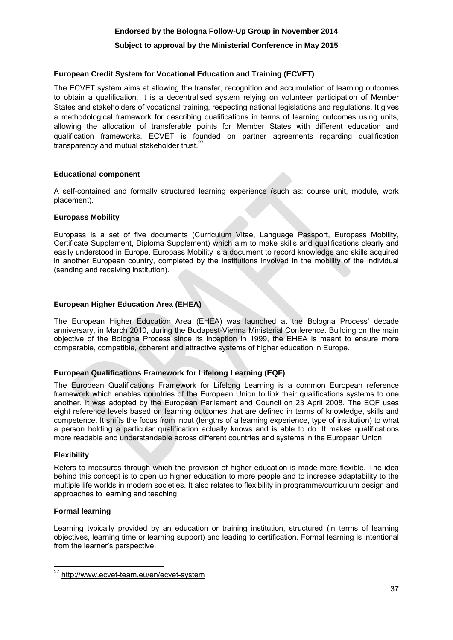## **Subject to approval by the Ministerial Conference in May 2015**

## **European Credit System for Vocational Education and Training (ECVET)**

The ECVET system aims at allowing the transfer, recognition and accumulation of learning outcomes to obtain a qualification. It is a decentralised system relying on volunteer participation of Member States and stakeholders of vocational training, respecting national legislations and regulations. It gives a methodological framework for describing qualifications in terms of learning outcomes using units, allowing the allocation of transferable points for Member States with different education and qualification frameworks. ECVET is founded on partner agreements regarding qualification transparency and mutual stakeholder trust.<sup>27</sup>

#### **Educational component**

A self-contained and formally structured learning experience (such as: course unit, module, work placement).

#### **Europass Mobility**

Europass is a set of five documents (Curriculum Vitae, Language Passport, Europass Mobility, Certificate Supplement, Diploma Supplement) which aim to make skills and qualifications clearly and easily understood in Europe. Europass Mobility is a document to record knowledge and skills acquired in another European country, completed by the institutions involved in the mobility of the individual (sending and receiving institution).

#### **European Higher Education Area (EHEA)**

The European Higher Education Area (EHEA) was launched at the Bologna Process' decade anniversary, in March 2010, during the Budapest-Vienna Ministerial Conference. Building on the main objective of the Bologna Process since its inception in 1999, the EHEA is meant to ensure more comparable, compatible, coherent and attractive systems of higher education in Europe.

## **European Qualifications Framework for Lifelong Learning (EQF)**

The European Qualifications Framework for Lifelong Learning is a common European reference framework which enables countries of the European Union to link their qualifications systems to one another. It was adopted by the European Parliament and Council on 23 April 2008. The EQF uses eight reference levels based on learning outcomes that are defined in terms of knowledge, skills and competence. It shifts the focus from input (lengths of a learning experience, type of institution) to what a person holding a particular qualification actually knows and is able to do. It makes qualifications more readable and understandable across different countries and systems in the European Union.

#### **Flexibility**

Refers to measures through which the provision of higher education is made more flexible. The idea behind this concept is to open up higher education to more people and to increase adaptability to the multiple life worlds in modern societies. It also relates to flexibility in programme/curriculum design and approaches to learning and teaching

#### **Formal learning**

Learning typically provided by an education or training institution, structured (in terms of learning objectives, learning time or learning support) and leading to certification. Formal learning is intentional from the learner's perspective.

<sup>&</sup>lt;sup>27</sup> http://www.ecvet-team.eu/en/ecvet-system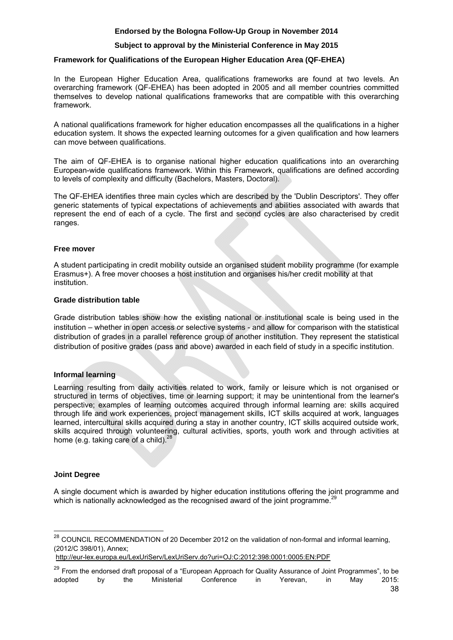## **Subject to approval by the Ministerial Conference in May 2015**

## **Framework for Qualifications of the European Higher Education Area (QF-EHEA)**

In the European Higher Education Area, qualifications frameworks are found at two levels. An [overarching framework](http://www.ond.vlaanderen.be/hogeronderwijs/bologna/qf/overarching.asp) (QF-EHEA) has been adopted in 2005 and all member countries committed themselves to develop [national qualifications frameworks](http://www.ond.vlaanderen.be/hogeronderwijs/bologna/qf/national.asp) that are compatible with this overarching framework.

A national qualifications framework for higher education encompasses all the qualifications in a higher education system. It shows the expected learning outcomes for a given qualification and how learners can move between qualifications.

The aim of QF-EHEA is to organise national higher education qualifications into an overarching European-wide qualifications framework. Within this Framework, qualifications are defined according to levels of complexity and difficulty (Bachelors, Masters, Doctoral).

The QF-EHEA identifies three main cycles which are described by the 'Dublin Descriptors'. They offer generic statements of typical expectations of achievements and abilities associated with awards that represent the end of each of a cycle. The first and second cycles are also characterised by credit ranges.

#### **Free mover**

A student participating in credit mobility outside an organised student mobility programme (for example Erasmus+). A free mover chooses a host institution and organises his/her credit mobility at that institution.

#### **Grade distribution table**

Grade distribution tables show how the existing national or institutional scale is being used in the institution – whether in open access or selective systems - and allow for comparison with the statistical distribution of grades in a parallel reference group of another institution. They represent the statistical distribution of positive grades (pass and above) awarded in each field of study in a specific institution.

## **Informal learning**

Learning resulting from daily activities related to work, family or leisure which is not organised or structured in terms of objectives, time or learning support; it may be unintentional from the learner's perspective; examples of learning outcomes acquired through informal learning are: skills acquired through life and work experiences, project management skills, ICT skills acquired at work, languages learned, intercultural skills acquired during a stay in another country, ICT skills acquired outside work, skills acquired through volunteering, cultural activities, sports, youth work and through activities at home (e.g. taking care of a child). $^{28}$ 

## **Joint Degree**

 $\overline{\phantom{a}}$ 

[A single document which is awarded by higher education institutions offering the joint programme and](https://eqar.eu/fileadmin/documents/bologna/02_European_Approach_QA_of_Joint_Programmes_v8_5_endorsedByBFUG.pdf) which is nationally acknowledged as the recognised award of the joint programme.<sup>2</sup>

 $^{28}$  COUNCIL RECOMMENDATION of 20 December 2012 on the validation of non-formal and informal learning, (2012/C 398/01), Annex;

<http://eur-lex.europa.eu/LexUriServ/LexUriServ.do?uri=OJ:C:2012:398:0001:0005:EN:PDF>

<sup>&</sup>lt;sup>29</sup> From the endorsed draft proposal of a "European Approach for Quality Assurance of Joint Programmes", to be adopted by the Ministerial Conference in Yerevan, in May 2015: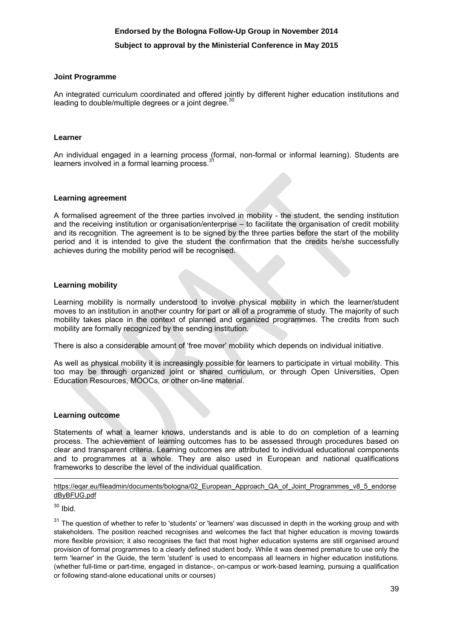#### **Subject to approval by the Ministerial Conference in May 2015**

#### **Joint Programme**

An integrated curriculum coordinated and offered jointly by different higher education institutions and leading to double/multiple degrees or a joint degree.<sup>30</sup>

#### **Learner**

An individual engaged in a learning process (formal, non-formal or informal learning). Students are learners involved in a formal learning process.<sup>3</sup>

#### **Learning agreement**

A formalised agreement of the three parties involved in mobility - the student, the sending institution and the receiving institution or organisation/enterprise – to facilitate the organisation of credit mobility and its recognition. The agreement is to be signed by the three parties before the start of the mobility period and it is intended to give the student the confirmation that the credits he/she successfully achieves during the mobility period will be recognised.

#### **Learning mobility**

Learning mobility is normally understood to involve physical mobility in which the learner/student moves to an institution in another country for part or all of a programme of study. The majority of such mobility takes place in the context of planned and organized programmes. The credits from such mobility are formally recognized by the sending institution.

There is also a considerable amount of 'free mover' mobility which depends on individual initiative.

As well as physical mobility it is increasingly possible for learners to participate in virtual mobility. This too may be through organized joint or shared curriculum, or through Open Universities, Open Education Resources, MOOCs, or other on-line material.

#### **Learning outcome**

Statements of what a learner knows, understands and is able to do on completion of a learning process. The achievement of learning outcomes has to be assessed through procedures based on clear and transparent criteria. Learning outcomes are attributed to individual educational components and to programmes at a whole. They are also used in European and national qualifications frameworks to describe the level of the individual qualification.

https://eqar.eu/fileadmin/documents/bologna/02 European Approach QA of Joint Programmes v8 5 endorse dByBFUG.pdf

 $30$  Ibid.

1

 $31$  The question of whether to refer to 'students' or 'learners' was discussed in depth in the working group and with stakeholders. The position reached recognises and welcomes the fact that higher education is moving towards more flexible provision; it also recognises the fact that most higher education systems are still organised around provision of formal programmes to a clearly defined student body. While it was deemed premature to use only the term 'learner' in the Guide, the term 'student' is used to encompass all learners in higher education institutions. (whether full-time or part-time, engaged in distance-, on-campus or work-based learning, pursuing a qualification or following stand-alone educational units or courses)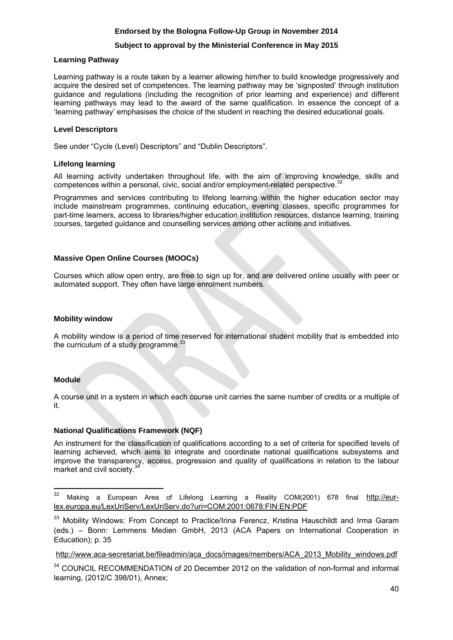#### **Subject to approval by the Ministerial Conference in May 2015**

#### **Learning Pathway**

Learning pathway is a route taken by a learner allowing him/her to build knowledge progressively and acquire the desired set of competences. The learning pathway may be 'signposted' through institution guidance and regulations (including the recognition of prior learning and experience) and different learning pathways may lead to the award of the same qualification. In essence the concept of a 'learning pathway' emphasises the choice of the student in reaching the desired educational goals.

#### **Level Descriptors**

See under "Cycle (Level) Descriptors" and "Dublin Descriptors".

#### **Lifelong learning**

All learning activity undertaken throughout life, with the aim of improving knowledge, [skills and](http://eur-lex.europa.eu/LexUriServ/LexUriServ.do?uri=COM:2001:0678:FIN:EN:PDF)  competences within a personal, civic, social and/or employment-related perspective.<sup>32</sup>

Programmes and services contributing to lifelong learning within the higher education sector may include mainstream programmes, continuing education, evening classes, specific programmes for part-time learners, access to libraries/higher education institution resources, distance learning, training courses, targeted guidance and counselling services among other actions and initiatives.

## **Massive Open Online Courses (MOOCs)**

Courses which allow open entry, are free to sign up for, and are delivered online usually with peer or automated support. They often have large enrolment numbers.

#### **Mobility window**

A mobility window is a period of time reserved for international student mobility that is embedded into the curriculum of a study programme.<sup>33</sup>

## **Module**

A course unit in a system in which each course unit carries the same number of credits or a multiple of it.

## **National Qualifications Framework (NQF)**

An instrument for the classification of qualifications according to a set of criteria for specified levels of learning achieved, which aims to integrate and coordinate national qualifications subsystems and improve the transparency, access, progression and quality of qualifications in relation to the labour market and civil society.<sup>34</sup>

<sup>32</sup> Making a European Area of Lifelong Learning a Reality COM(2001) 678 final http://eur[lex.europa.eu/LexUriServ/LexUriServ.do?uri=COM:2001:0678:FIN:EN:PDF](http://eur-lex.europa.eu/LexUriServ/LexUriServ.do?uri=COM:2001:0678:FIN:EN:PDF) 

<sup>&</sup>lt;sup>33</sup> Mobility Windows: From Concept to Practice/Irina Ferencz, Kristina Hauschildt and Irma Garam [\(eds.\) – Bonn: Lemmens Medien GmbH, 2013 \(ACA Papers on International Coop](http://eur-lex.europa.eu/LexUriServ/LexUriServ.do?uri=OJ:C:2012:398:0001:0005:EN:PDF)eration in Education); p. 35

[http://www.aca-secretariat.be/fileadmin/aca\\_docs/images/members/ACA\\_2013\\_Mobility\\_windows.pdf](http://www.aca-secretariat.be/fileadmin/aca_docs/images/members/ACA_2013_Mobility_windows.pdf) 

<sup>&</sup>lt;sup>34</sup> COUNCIL RECOMMENDATION of 20 December 2012 on the validation of non-formal and informal learning, (2012/C 398/01), Annex;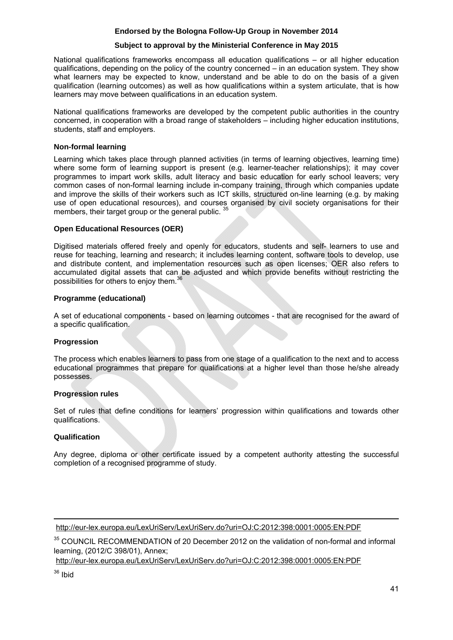#### **Subject to approval by the Ministerial Conference in May 2015**

National qualifications frameworks encompass all education qualifications – or all higher education qualifications, depending on the policy of the country concerned – in an education system. They show what learners may be expected to know, understand and be able to do on the basis of a given qualification (learning outcomes) as well as how qualifications within a system articulate, that is how learners may move between qualifications in an education system.

National qualifications frameworks are developed by the competent public authorities in the country concerned, in cooperation with a broad range of stakeholders – including higher education institutions, students, staff and employers.

#### **Non-formal learning**

Learning which takes place through planned activities (in terms of learning objectives, learning time) where some form of learning support is present (e.g. learner-teacher relationships); it may cover programmes to impart work skills, adult literacy and basic education for early school leavers; very common cases of non-formal learning include in-company training, through which companies update and improve the skills of their workers such as ICT skills, structured on-line learning (e.g. by making use of open educational resources), and courses organised by civil society organisations for their members, their target group or the general public.

#### **Open Educational Resources (OER)**

Digitised materials offered freely and openly for educators, students and self- learners to use and reuse for teaching, learning and research; it includes learning content, software tools to develop, use and distribute content, and implementation resources such as open licenses; OER also refers to accumulated digital assets that can be adjusted and which provide benefits without restricting the possibilities for others to enjoy them.<sup>36</sup>

#### **Programme (educational)**

A set of educational components - based on learning outcomes - that are recognised for the award of a specific qualification.

## **Progression**

The process which enables learners to pass from one stage of a qualification to the next and to access educational programmes that prepare for qualifications at a higher level than those he/she already possesses.

## **Progression rules**

Set of rules that define conditions for learners' progression within qualifications and towards other qualifications.

#### **Qualification**

Any degree, diploma or other certificate issued by a competent authority attesting the successful completion of a recognised programme of study.

**.** http://eur-lex.europa.eu/LexUriServ/LexUriServ.do?uri=OJ:C:2012:398:0001:0005:EN:PDF

<sup>35</sup> COUNCIL RECOMMENDATION of 20 December 2012 on the validation of non-formal and informal learning, (2012/C 398/01), Annex;

 [http://eur-lex.europa.eu/LexUriServ/LexUriServ.do?](http://eur-lex.europa.eu/LexUriServ/LexUriServ.do?uri=OJ:C:2012:398:0001:0005:EN:PDF)uri=OJ:C:2012:398:0001:0005:EN:PDF

 $36$  Ibid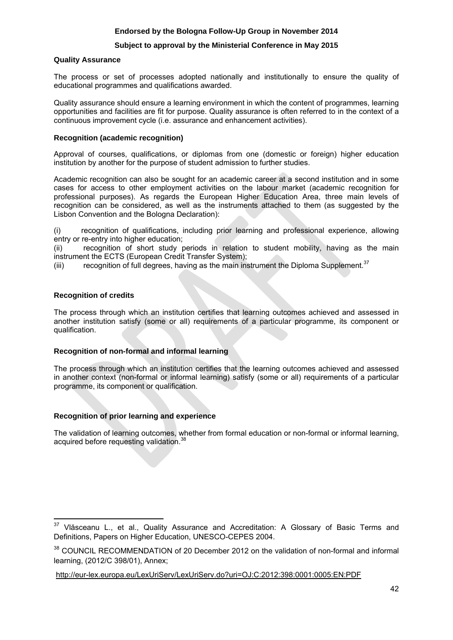## **Subject to approval by the Ministerial Conference in May 2015**

#### **Quality Assurance**

The process or set of processes adopted nationally and institutionally to ensure the quality of educational programmes and qualifications awarded.

Quality assurance should ensure a learning environment in which the content of programmes, learning opportunities and facilities are fit for purpose. Quality assurance is often referred to in the context of a continuous improvement cycle (i.e. assurance and enhancement activities).

### **Recognition (academic recognition)**

Approval of courses, qualifications, or diplomas from one (domestic or foreign) higher education institution by another for the purpose of student admission to further studies.

Academic recognition can also be sought for an academic career at a second institution and in some cases for access to other employment activities on the labour market (academic recognition for professional purposes). As regards the European Higher Education Area, three main levels of recognition can be considered, as well as the instruments attached to them (as suggested by the Lisbon Convention and the Bologna Declaration):

(i) recognition of qualifications, including prior learning and professional experience, allowing entry or re-entry into higher education;

(ii) recognition of short study periods in relation to student mobility, having as the main instrument the ECTS (European Credit Transfer System);

(iii) recognition of full degrees, having as the main instrument the Diploma Supplement. $37$ 

#### **Recognition of credits**

The process through which an institution certifies that learning outcomes achieved and assessed in another institution satisfy (some or all) requirements of a particular programme, its component or qualification.

## **Recognition of non-formal and informal learning**

The process through which an institution certifies that the learning outcomes achieved and assessed in another context (non-formal or informal learning) satisfy (some or all) requirements of a particular programme, its component or qualification.

## **Recognition of prior learning and experience**

The validation of learning outcomes, whether from formal education or non-formal or informal learning, acquired before requesting validation.<sup>3</sup>

<sup>37</sup> Vlăsceanu L., et al., Quality Assurance and Accreditation: A Glossary of Basic Terms and Definitions, Papers on Higher Education, UNESCO-CEPES 2004.

<sup>&</sup>lt;sup>38</sup> COUNCIL RECOMMENDATION of 20 December 2012 on the validation of non-formal and informal learning, (2012/C 398/01), Annex;

[http://eur-lex.europa.eu/LexUriServ/Le](http://eur-lex.europa.eu/LexUriServ/LexUriServ.do?uri=OJ:C:2012:398:0001:0005:EN:PDF)xUriServ.do?uri=OJ:C:2012:398:0001:0005:EN:PDF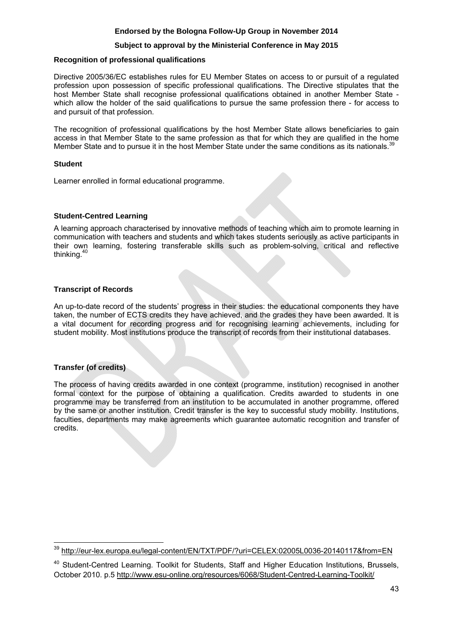## **Subject to approval by the Ministerial Conference in May 2015**

#### **Recognition of professional qualifications**

Directive 2005/36/EC establishes rules for EU Member States on access to or pursuit of a regulated profession upon possession of specific professional qualifications. The Directive stipulates that the host Member State shall recognise professional qualifications obtained in another Member State which allow the holder of the said qualifications to pursue the same profession there - for access to and pursuit of that profession.

The recognition of professional qualifications by the host Member State allows beneficiaries to gain access in that Member State to the same profession as that for which they are qualified in the home Member State and to pursue it in the host Member State under the same conditions as its nationals.<sup>3</sup>

#### **Student**

Learner enrolled in formal educational programme.

#### **Student-Centred Learning**

A learning approach characterised by innovative methods of teaching which aim to promote learning in communication with teachers and students and which takes students seriously as active participants in their own learning, fostering transferable skills such as problem-solving, critical and reflective thinking.40

## **Transcript of Records**

An up-to-date record of the students' progress in their studies: the educational components they have taken, the number of ECTS credits they have achieved, and the grades they have been awarded. It is a vital document for recording progress and for recognising learning achievements, including for student mobility. Most institutions produce the transcript of records from their institutional databases.

## **Transfer (of credits)**

**.** 

The process of having credits awarded in one context (programme, institution) recognised in another formal context for the purpose of obtaining a qualification. Credits awarded to students in one programme may be transferred from an institution to be accumulated in another programme, offered by the same or another institution. Credit transfer is the key to successful study mobility. Institutions, faculties, departments may make agreements which guarantee automatic recognition and transfer of credits.

<sup>&</sup>lt;sup>39</sup> http://eur-lex.europa.eu/legal-content/EN/TXT/PDF/?uri=CELEX:02005L0036-20140117&from=EN

<sup>&</sup>lt;sup>40</sup> Student-Centred Learning. Toolkit for Students, Staff and Higher Education Institutions, Brussels, October 2010. p.[5 http://www.esu-online.org/resources/6068/Student-Centred-Learning-Toolkit/](http://www.esu-online.org/resources/6068/Student-Centred-Learning-Toolkit/)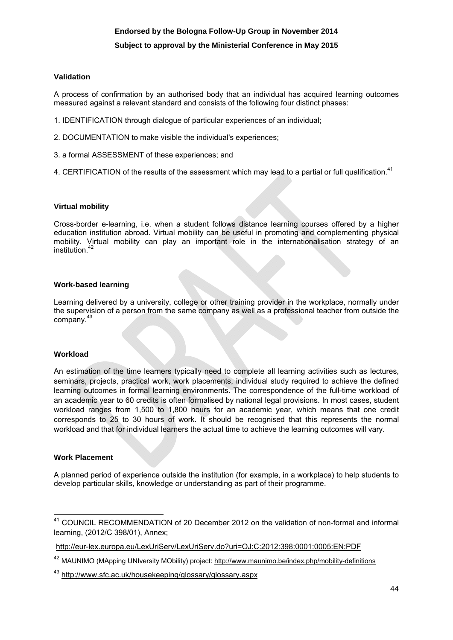## **Subject to approval by the Ministerial Conference in May 2015**

#### **Validation**

A process of confirmation by an authorised body that an individual has acquired learning outcomes measured against a relevant standard and consists of the following four distinct phases:

- 1. IDENTIFICATION through dialogue of particular experiences of an individual;
- 2. DOCUMENTATION to make visible the individual's experiences;
- 3. a formal ASSESSMENT of these experiences; and
- 4. CERTIFICATION of the results of the assessment which may lead to a partial or full qualification.<sup>41</sup>

#### **Virtual mobility**

Cross-border e-learning, i.e. when a student follows distance learning courses offered by a higher education institution abroad. Virtual mobility can be useful in promoting and complementing physical mobility. Virtual mobility can play an important role in the internationalisation strategy of an institution.<sup>42</sup>

#### **Work-based learning**

Learning delivered by a university, college or other training provider in the workplace, normally under the supervision of a person from the same company as well as a professional teacher from outside the company.<sup>43</sup>

#### **Workload**

An estimation of the time learners typically need to complete all learning activities such as lectures, seminars, projects, practical work, work placements, individual study required to achieve the defined learning outcomes in formal learning environments. The correspondence of the full-time workload of an academic year to 60 credits is often formalised by national legal provisions. In most cases, student workload ranges from 1,500 to 1,800 hours for an academic year, which means that one credit corresponds to 25 to 30 hours of work. It should be recognised that this represents the normal workload and that for individual learners the actual time to achieve the learning outcomes will vary.

## **Work Placement**

**.** 

A planned period of experience outside the institution (for example, in a workplace) to help students to develop particular skills, knowledge or understanding as part of their programme.

<sup>41</sup> COUNCIL RECOMMENDATION of 20 December 2012 on the validation of non-formal and informal learning, (2012/C 398/01), Annex;

<http://eur-lex.europa.eu/LexUriServ/LexUriServ.do?uri=OJ:C:2012:398:0001:0005:EN:PDF>

<sup>&</sup>lt;sup>42</sup> MAUNIMO (MApping UNIversity MObility) project:<http://www.maunimo.be/index.php/mobility-definitions>

<sup>4</sup>[3 http://www.sfc.ac.uk/housekeeping/glossary/glossary.aspx](http://www.sfc.ac.uk/housekeeping/glossary/glossary.aspx)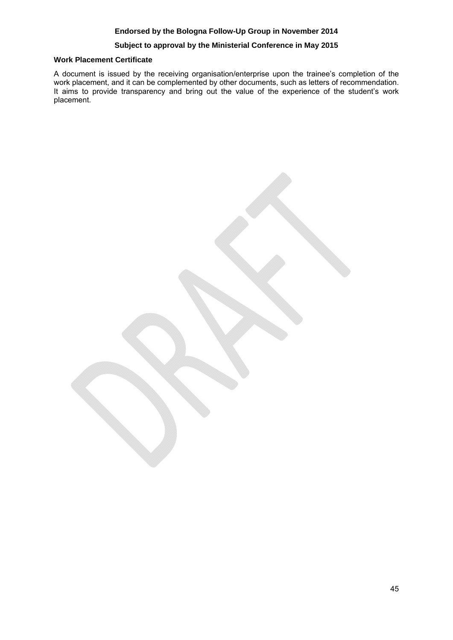## **Subject to approval by the Ministerial Conference in May 2015**

#### **Work Placement Certificate**

A document is issued by the receiving organisation/enterprise upon the trainee's completion of the work placement, and it can be complemented by other documents, such as letters of recommendation. It aims to provide transparency and bring out the value of the experience of the student's work placement.

45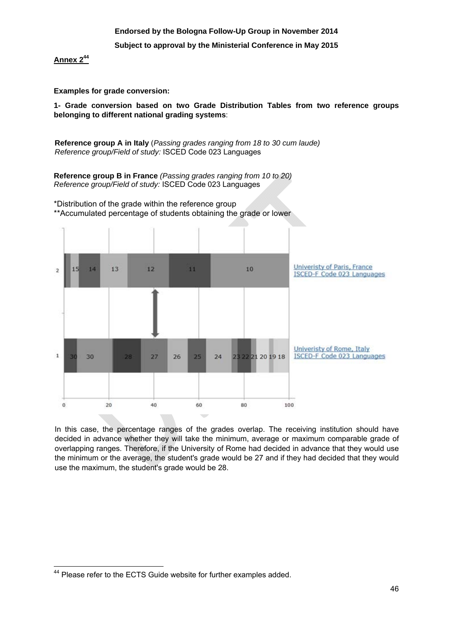## **Endorsed by the Bologna Follow-Up Group in November 2014 Subject to approval by the Ministerial Conference in May 2015**

**Annex 244**

**Examples for grade conversion:** 

**1- Grade conversion based on two Grade Distribution Tables from two reference groups belonging to different national grading systems**:

**Reference group A in Italy** (*Passing grades ranging from 18 to 30 cum laude) Reference group/Field of study:* ISCED Code 023 Languages

**Reference group B in France** *(Passing grades ranging from 10 to 20) Reference group/Field of study:* ISCED Code 023 Languages

\*Distribution of the grade within the reference group

\*\*Accumulated percentage of students obtaining the grade or lower



In this case, the percentage ranges of the grades overlap. The receiving institution should have decided in advance whether they will take the minimum, average or maximum comparable grade of overlapping ranges. Therefore, if the University of Rome had decided in advance that they would use the minimum or the average, the student's grade would be 27 and if they had decided that they would use the maximum, the student's grade would be 28.

 $\overline{\phantom{a}}$ <sup>44</sup> Please refer to the ECTS Guide website for further examples added.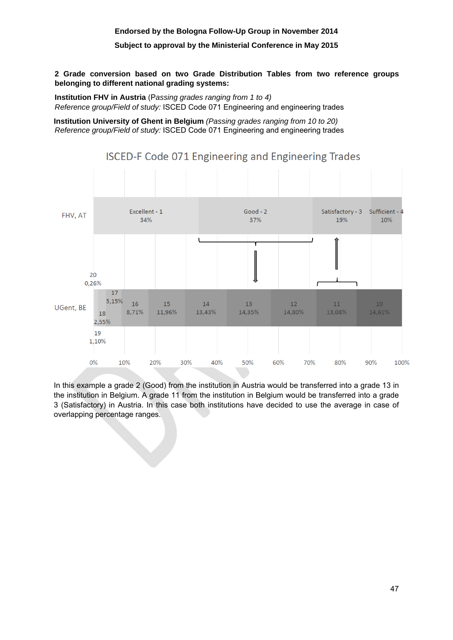#### **Subject to approval by the Ministerial Conference in May 2015**

## **2 Grade conversion based on two Grade Distribution Tables from two reference groups belonging to different national grading systems:**

**Institution FHV in Austria** (P*assing grades ranging from 1 to 4) Reference group/Field of study:* ISCED Code 071 Engineering and engineering trades

**Institution University of Ghent in Belgium** *(Passing grades ranging from 10 to 20) Reference group/Field of study:* ISCED Code 071 Engineering and engineering trades



**ISCED-F Code 071 Engineering and Engineering Trades** 

In this example a grade 2 (Good) from the institution in Austria would be transferred into a grade 13 in the institution in Belgium. A grade 11 from the institution in Belgium would be transferred into a grade 3 (Satisfactory) in Austria. In this case both institutions have decided to use the average in case of overlapping percentage ranges.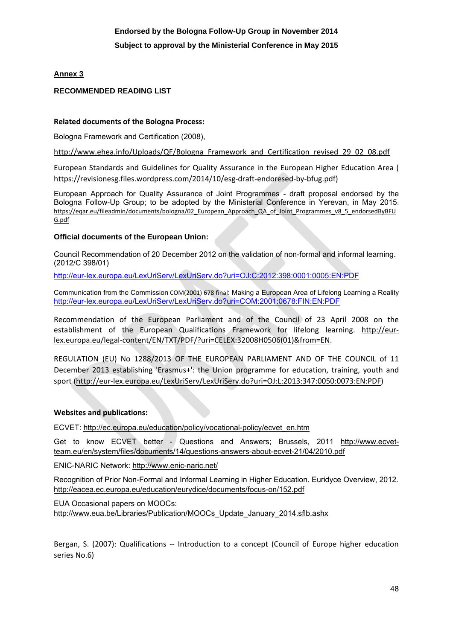## **Annex 3**

## **RECOMMENDED READING LIST**

## **Related documents of the Bologna Process:**

Bologna Framework and Certification (2008),

[http://www.ehea.info/Uploads/QF/Bologna\\_Framework\\_and\\_Certification\\_revised\\_29\\_02\\_08.pdf](http://www.ehea.info/Uploads/QF/Bologna_Framework_and_Certification_revised_29_02_08.pdf)

European Standards and Guidelines for Quality Assurance in the European Higher Education Area ( https://revisionesg.files.wordpress.com/2014/10/esg-draft-endoresed-by-bfug.pdf)

European Approach for Quality Assurance of Joint Programmes - draft proposal endorsed by the Bologna Follow-Up Group; to be adopted by the Ministerial Conference in Yerevan, in May 2015: https://eqar.eu/fileadmin/documents/bologna/02 European Approach QA of Joint Programmes v8 5 endorsedByBFU [G.pdf](https://eqar.eu/fileadmin/documents/bologna/02_European_Approach_QA_of_Joint_Programmes_v8_5_endorsedByBFUG.pdf)

## **Official documents of the European Union:**

Council Recommendation of 20 December 2012 on the validation of non-formal and informal learning. (2012/C 398/01)

[http://eur-lex.europa.eu/LexUriServ/LexUriServ.do?uri=OJ:C:2012:398:0001:0005:EN:PDF](http://eur-lex.europa.eu/lexuriserv/lexuriserv.do?uri=oj:c:2012:398:0001:0005:en:pdf)

Communication from the Commission COM(2001) 678 final: Making a European Area of Lifelong Learning a Reality <http://eur-lex.europa.eu/LexUriServ/LexUriServ.do?uri=COM:2001:0678:FIN:EN:PDF>

Recommendation of the European Parliament and of the Council of 23 April 2008 on the establishment of the European Qualifications Framework for lifelong learning. [http://eur](http://eur-lex.europa.eu/legal-content/EN/TXT/PDF/?uri=CELEX:32008H0506(01)&from=EN)[lex.europa.eu/legal-content/EN/TXT/PDF/?uri=CELEX:32008H0506\(01\)&from=EN.](http://eur-lex.europa.eu/legal-content/EN/TXT/PDF/?uri=CELEX:32008H0506(01)&from=EN)

REGULATION (EU) No 1288/2013 OF THE EUROPEAN PARLIAMENT AND OF THE COUNCIL of 11 December 2013 establishing 'Erasmus+': the Union programme for education, training, youth and sport [\(http://eur-lex.europa.eu/LexUriServ/LexUriServ.do?uri=OJ:L:2013:347:0050:0073:EN:PDF\)](http://eur-lex.europa.eu/LexUriServ/LexUriServ.do?uri=OJ:L:2013:347:0050:0073:EN:PDF)

## **Websites and publications:**

ECVET[: http://ec.europa.eu/education/policy/vocational-policy/ecvet\\_en.htm](http://ec.europa.eu/education/policy/vocational-policy/ecvet_en.htm) 

Get to know ECVET better - Questions and Answers; Brussels, 2011 [http://www.ecvet](http://www.ecvet-team.eu/en/system/files/documents/14/questions-answers-about-ecvet-21/04/2010.pdf)[team.eu/en/system/files/documents/14/questions-answers-about-ecvet-21/04/2010.pdf](http://www.ecvet-team.eu/en/system/files/documents/14/questions-answers-about-ecvet-21/04/2010.pdf)

ENIC-NARIC Network[: http://www.enic-naric.net/](http://www.enic-naric.net/)

Recognition of Prior Non-Formal and Informal Learning in Higher Education. Euridyce Overview, 2012. <http://eacea.ec.europa.eu/education/eurydice/documents/focus-on/152.pdf>

EUA Occasional papers on MOOCs: [http://www.eua.be/Libraries/Publication/MOOCs\\_Update\\_January\\_2014.sflb.ashx](http://www.eua.be/Libraries/Publication/MOOCs_Update_January_2014.sflb.ashx) 

Bergan, S. (2007): Qualifications -- Introduction to a concept (Council of Europe higher education series No.6)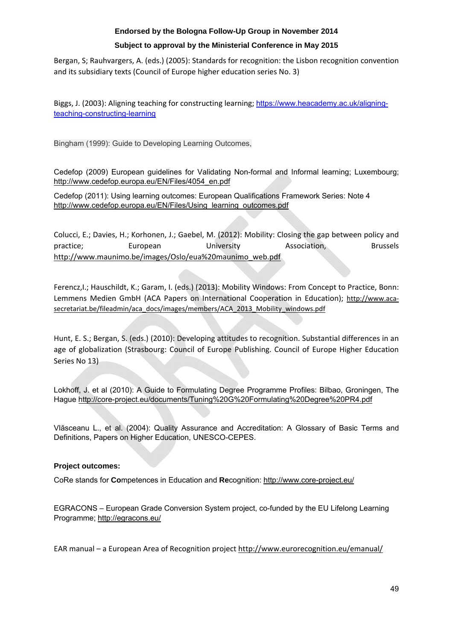## **Subject to approval by the Ministerial Conference in May 2015**

Bergan, S; Rauhvargers, A. (eds.) (2005): Standards for recognition: the Lisbon recognition convention and its subsidiary texts (Council of Europe higher education series No. 3)

Biggs, J. (2003): Aligning teaching for constructing learning; https://www.heacademy.ac.uk/aligningteaching-constructing-learning

Bingham (1999): Guide to Developing Learning Outcomes,

Cedefop (2009) European guidelines for Validating Non-formal and Informal learning; Luxembourg; [http://www.cedefop.europa.eu/EN/Files/4054\\_en.pdf](http://www.cedefop.europa.eu/EN/Files/4054_en.pdf) 

Cedefop (2011): Using learning outcomes: European Qualifications Framework Series: Note 4 [http://www.cedefop.europa.eu/EN/Files/Using\\_learning\\_outcomes.pdf](http://www.cedefop.europa.eu/EN/Files/Using_learning_outcomes.pdf)

Colucci, E.; Davies, H.; Korhonen, J.; Gaebel, M. (2012): Mobility: Closing the gap between policy and practice; European University Association, Brussels [http://www.maunimo.be/images/Oslo/eua%20maunimo\\_web.pdf](http://www.maunimo.be/images/Oslo/eua%20maunimo_web.pdf) 

Ferencz,I.; Hauschildt, K.; Garam, I. (eds.) (2013): Mobility Windows: From Concept to Practice, Bonn: Lemmens Medien GmbH (ACA Papers on International Cooperation in Education); [http://www.aca](http://www.aca-secretariat.be/fileadmin/aca_docs/images/members/ACA_2013_Mobility_windows.pdf)[secretariat.be/fileadmin/aca\\_docs/images/members/ACA\\_2013\\_Mobility\\_windows.pdf](http://www.aca-secretariat.be/fileadmin/aca_docs/images/members/ACA_2013_Mobility_windows.pdf)

Hunt, E. S.; Bergan, S. (eds.) (2010): Developing attitudes to recognition. Substantial differences in an age of globalization (Strasbourg: Council of Europe Publishing. Council of Europe Higher Education Series No 13)

Lokhoff, J. et al (2010): A Guide to Formulating Degree Programme Profiles: Bilbao, Groningen, The Hagu[e http://core-project.eu/documents/Tuning%20G%20Formulating%20Degree%20PR4.pdf](http://core-project.eu/documents/Tuning%20G%20Formulating%20Degree%20PR4.pdf) 

Vlăsceanu L., et al. (2004): Quality Assurance and Accreditation: A Glossary of Basic Terms and Definitions, Papers on Higher Education, UNESCO-CEPES.

## **Project outcomes:**

CoRe stands for **Co**mpetences in Education and **Re**cognition[: http://www.core-project.eu/](http://www.core-project.eu/)

EGRACONS – European Grade Conversion System project, co-funded by the EU Lifelong Learning Programme[; http://egracons.eu/](http://egracons.eu/) 

EAR manual – a European Area of Recognition projec[t http://www.eurorecognition.eu/emanual/](http://www.eurorecognition.eu/emanual/)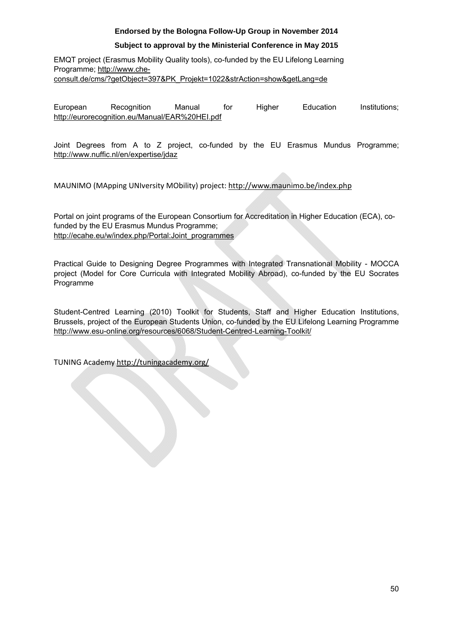## **Subject to approval by the Ministerial Conference in May 2015**

EMQT project (Erasmus Mobility Quality tools), co-funded by the EU Lifelong Learning Programme[; http://www.che](http://www.che-consult.de/cms/?getObject=397&PK_Projekt=1022&strAction=show&getLang=de)[consult.de/cms/?getObject=397&PK\\_Projekt=1022&strAction=show&getLang=de](http://www.che-consult.de/cms/?getObject=397&PK_Projekt=1022&strAction=show&getLang=de) 

European Recognition Manual for Higher Education Institutions; <http://eurorecognition.eu/Manual/EAR%20HEI.pdf>

Joint Degrees from A to Z project, co-funded by the EU Erasmus Mundus Programme; <http://www.nuffic.nl/en/expertise/jdaz>

MAUNIMO (MApping UNIversity MObility) project:<http://www.maunimo.be/index.php>

Portal on joint programs of the European Consortium for Accreditation in Higher Education (ECA), cofunded by the EU Erasmus Mundus Programme; [http://ecahe.eu/w/index.php/Portal:Joint\\_programmes](http://ecahe.eu/w/index.php/Portal:Joint_programmes)

Practical Guide to Designing Degree Programmes with Integrated Transnational Mobility - MOCCA project (Model for Core Curricula with Integrated Mobility Abroad), co-funded by the EU Socrates Programme

Student-Centred Learning (2010) Toolkit for Students, Staff and Higher Education Institutions, Brussels, project of the European Students Union, co-funded by the EU Lifelong Learning Programme <http://www.esu-online.org/resources/6068/Student-Centred-Learning-Toolkit/>

TUNING Academ[y http://tuningacademy.org/](http://tuningacademy.org/)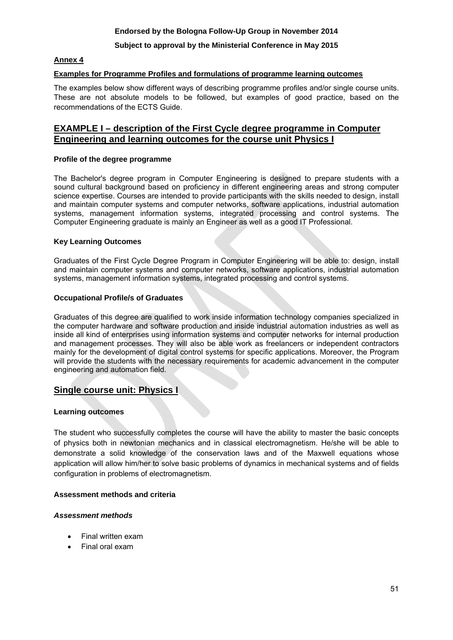## **Subject to approval by the Ministerial Conference in May 2015**

## **Annex 4**

## **Examples for Programme Profiles and formulations of programme learning outcomes**

The examples below show different ways of describing programme profiles and/or single course units. These are not absolute models to be followed, but examples of good practice, based on the recommendations of the ECTS Guide.

## **EXAMPLE I – description of the First Cycle degree programme in Computer Engineering and learning outcomes for the course unit Physics I**

## **Profile of the degree programme**

The Bachelor's degree program in Computer Engineering is designed to prepare students with a sound cultural background based on proficiency in different engineering areas and strong computer science expertise. Courses are intended to provide participants with the skills needed to design, install and maintain computer systems and computer networks, software applications, industrial automation systems, management information systems, integrated processing and control systems. The Computer Engineering graduate is mainly an Engineer as well as a good IT Professional.

#### **Key Learning Outcomes**

Graduates of the First Cycle Degree Program in Computer Engineering will be able to: design, install and maintain computer systems and computer networks, software applications, industrial automation systems, management information systems, integrated processing and control systems.

## **Occupational Profile/s of Graduates**

Graduates of this degree are qualified to work inside information technology companies specialized in the computer hardware and software production and inside industrial automation industries as well as inside all kind of enterprises using information systems and computer networks for internal production and management processes. They will also be able work as freelancers or independent contractors mainly for the development of digital control systems for specific applications. Moreover, the Program will provide the students with the necessary requirements for academic advancement in the computer engineering and automation field.

## **Single course unit: Physics I**

## **Learning outcomes**

The student who successfully completes the course will have the ability to master the basic concepts of physics both in newtonian mechanics and in classical electromagnetism. He/she will be able to demonstrate a solid knowledge of the conservation laws and of the Maxwell equations whose application will allow him/her to solve basic problems of dynamics in mechanical systems and of fields configuration in problems of electromagnetism.

## **Assessment methods and criteria**

## *Assessment methods*

- Final written exam
- Final oral exam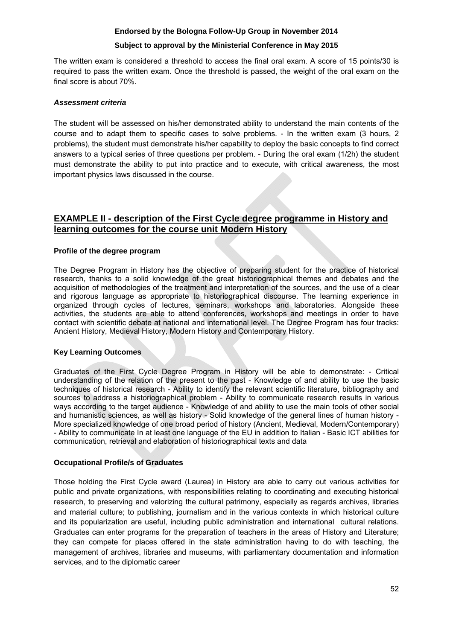## **Subject to approval by the Ministerial Conference in May 2015**

The written exam is considered a threshold to access the final oral exam. A score of 15 points/30 is required to pass the written exam. Once the threshold is passed, the weight of the oral exam on the final score is about 70%.

## *Assessment criteria*

The student will be assessed on his/her demonstrated ability to understand the main contents of the course and to adapt them to specific cases to solve problems. - In the written exam (3 hours, 2 problems), the student must demonstrate his/her capability to deploy the basic concepts to find correct answers to a typical series of three questions per problem. - During the oral exam (1/2h) the student must demonstrate the ability to put into practice and to execute, with critical awareness, the most important physics laws discussed in the course.

## **EXAMPLE II - description of the First Cycle degree programme in History and learning outcomes for the course unit Modern History**

## **Profile of the degree program**

The Degree Program in History has the objective of preparing student for the practice of historical research, thanks to a solid knowledge of the great historiographical themes and debates and the acquisition of methodologies of the treatment and interpretation of the sources, and the use of a clear and rigorous language as appropriate to historiographical discourse. The learning experience in organized through cycles of lectures, seminars, workshops and laboratories. Alongside these activities, the students are able to attend conferences, workshops and meetings in order to have contact with scientific debate at national and international level. The Degree Program has four tracks: Ancient History, Medieval History, Modern History and Contemporary History.

## **Key Learning Outcomes**

Graduates of the First Cycle Degree Program in History will be able to demonstrate: - Critical understanding of the relation of the present to the past - Knowledge of and ability to use the basic techniques of historical research - Ability to identify the relevant scientific literature, bibliography and sources to address a historiographical problem - Ability to communicate research results in various ways according to the target audience - Knowledge of and ability to use the main tools of other social and humanistic sciences, as well as history - Solid knowledge of the general lines of human history - More specialized knowledge of one broad period of history (Ancient, Medieval, Modern/Contemporary) - Ability to communicate In at least one language of the EU in addition to Italian - Basic ICT abilities for communication, retrieval and elaboration of historiographical texts and data

## **Occupational Profile/s of Graduates**

Those holding the First Cycle award (Laurea) in History are able to carry out various activities for public and private organizations, with responsibilities relating to coordinating and executing historical research, to preserving and valorizing the cultural patrimony, especially as regards archives, libraries and material culture; to publishing, journalism and in the various contexts in which historical culture and its popularization are useful, including public administration and international cultural relations. Graduates can enter programs for the preparation of teachers in the areas of History and Literature; they can compete for places offered in the state administration having to do with teaching, the management of archives, libraries and museums, with parliamentary documentation and information services, and to the diplomatic career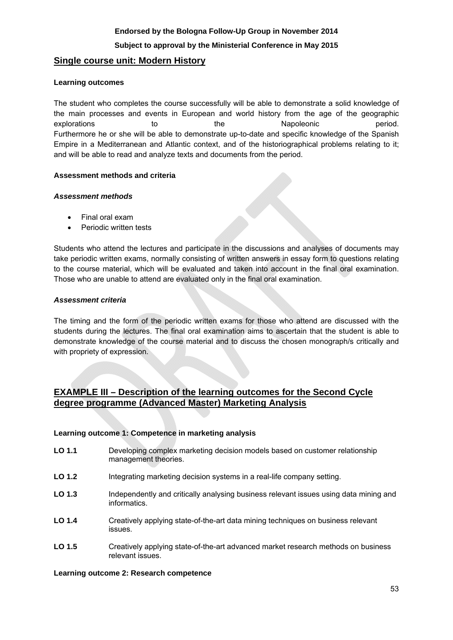## **Subject to approval by the Ministerial Conference in May 2015**

## **Single course unit: Modern History**

#### **Learning outcomes**

The student who completes the course successfully will be able to demonstrate a solid knowledge of the main processes and events in European and world history from the age of the geographic explorations to the Napoleonic period. Furthermore he or she will be able to demonstrate up-to-date and specific knowledge of the Spanish Empire in a Mediterranean and Atlantic context, and of the historiographical problems relating to it; and will be able to read and analyze texts and documents from the period.

## **Assessment methods and criteria**

#### *Assessment methods*

- Final oral exam
- Periodic written tests

Students who attend the lectures and participate in the discussions and analyses of documents may take periodic written exams, normally consisting of written answers in essay form to questions relating to the course material, which will be evaluated and taken into account in the final oral examination. Those who are unable to attend are evaluated only in the final oral examination.

#### *Assessment criteria*

The timing and the form of the periodic written exams for those who attend are discussed with the students during the lectures. The final oral examination aims to ascertain that the student is able to demonstrate knowledge of the course material and to discuss the chosen monograph/s critically and with propriety of expression.

## **EXAMPLE III – Description of the learning outcomes for the Second Cycle degree programme (Advanced Master) Marketing Analysis**

#### **Learning outcome 1: Competence in marketing analysis**

- **LO 1.1** Developing complex marketing decision models based on customer relationship management theories.
- **LO 1.2** Integrating marketing decision systems in a real-life company setting.
- LO 1.3 Independently and critically analysing business relevant issues using data mining and informatics.
- **LO 1.4** Creatively applying state-of-the-art data mining techniques on business relevant issues.
- LO 1.5 **Creatively applying state-of-the-art advanced market research methods on business** relevant issues.

#### **Learning outcome 2: Research competence**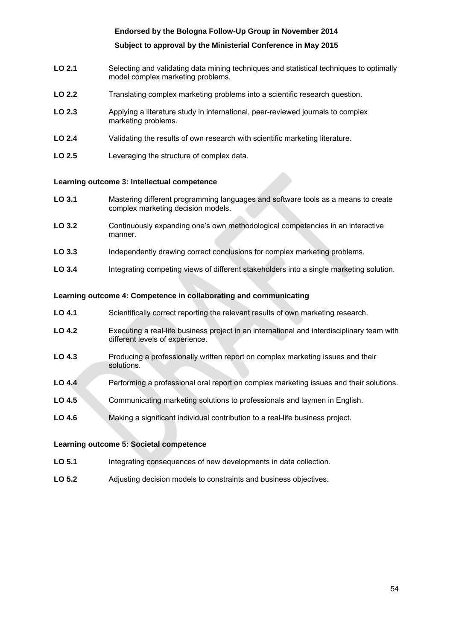## **Subject to approval by the Ministerial Conference in May 2015**

- **LO 2.1** Selecting and validating data mining techniques and statistical techniques to optimally model complex marketing problems.
- **LO 2.2** Translating complex marketing problems into a scientific research question.
- **LO 2.3** Applying a literature study in international, peer-reviewed journals to complex marketing problems.
- **LO 2.4** Validating the results of own research with scientific marketing literature.
- **LO 2.5** Leveraging the structure of complex data.

#### **Learning outcome 3: Intellectual competence**

- **LO 3.1** Mastering different programming languages and software tools as a means to create complex marketing decision models.
- **LO 3.2** Continuously expanding one's own methodological competencies in an interactive manner.
- **LO 3.3** Independently drawing correct conclusions for complex marketing problems.
- **LO 3.4** Integrating competing views of different stakeholders into a single marketing solution.

#### **Learning outcome 4: Competence in collaborating and communicating**

- LO 4.1 Scientifically correct reporting the relevant results of own marketing research.
- **LO 4.2** Executing a real-life business project in an international and interdisciplinary team with different levels of experience.
- LO 4.3 **Producing a professionally written report on complex marketing issues and their** solutions.
- **LO 4.4** Performing a professional oral report on complex marketing issues and their solutions.
- **LO 4.5** Communicating marketing solutions to professionals and laymen in English.
- LO 4.6 Making a significant individual contribution to a real-life business project.

#### **Learning outcome 5: Societal competence**

- **LO 5.1** Integrating consequences of new developments in data collection.
- **LO 5.2** Adjusting decision models to constraints and business objectives.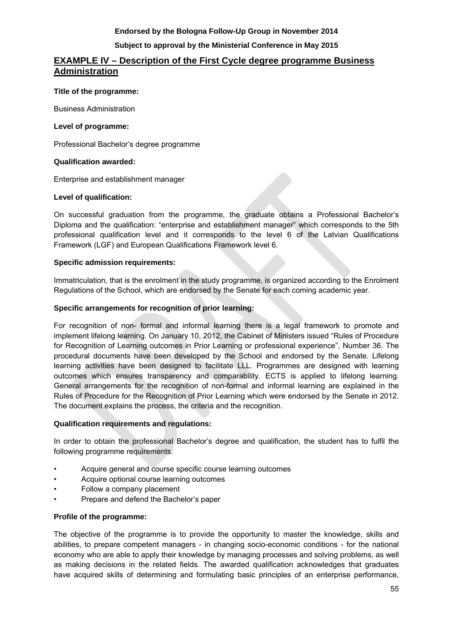## **Subject to approval by the Ministerial Conference in May 2015**

## **EXAMPLE IV – Description of the First Cycle degree programme Business Administration**

## **Title of the programme:**

Business Administration

## **Level of programme:**

Professional Bachelor's degree programme

## **Qualification awarded:**

Enterprise and establishment manager

## **Level of qualification:**

On successful graduation from the programme, the graduate obtains a Professional Bachelor's Diploma and the qualification: "enterprise and establishment manager" which corresponds to the 5th professional qualification level and it corresponds to the level 6 of the Latvian Qualifications Framework (LGF) and European Qualifications Framework level 6.

## **Specific admission requirements:**

Immatriculation, that is the enrolment in the study programme, is organized according to the Enrolment Regulations of the School, which are endorsed by the Senate for each coming academic year.

## **Specific arrangements for recognition of prior learning:**

For recognition of non- formal and informal learning there is a legal framework to promote and implement lifelong learning. On January 10, 2012, the Cabinet of Ministers issued "Rules of Procedure for Recognition of Learning outcomes in Prior Learning or professional experience", Number 36. The procedural documents have been developed by the School and endorsed by the Senate. Lifelong learning activities have been designed to facilitate LLL. Programmes are designed with learning outcomes which ensures transparency and comparability. ECTS is applied to lifelong learning. General arrangements for the recognition of non-formal and informal learning are explained in the Rules of Procedure for the Recognition of Prior Learning which were endorsed by the Senate in 2012. The document explains the process, the criteria and the recognition.

## **Qualification requirements and regulations:**

In order to obtain the professional Bachelor's degree and qualification, the student has to fulfil the following programme requirements:

- Acquire general and course specific course learning outcomes
- Acquire optional course learning outcomes
- Follow a company placement
- Prepare and defend the Bachelor's paper

## **Profile of the programme:**

The objective of the programme is to provide the opportunity to master the knowledge, skills and abilities, to prepare competent managers - in changing socio-economic conditions - for the national economy who are able to apply their knowledge by managing processes and solving problems, as well as making decisions in the related fields. The awarded qualification acknowledges that graduates have acquired skills of determining and formulating basic principles of an enterprise performance,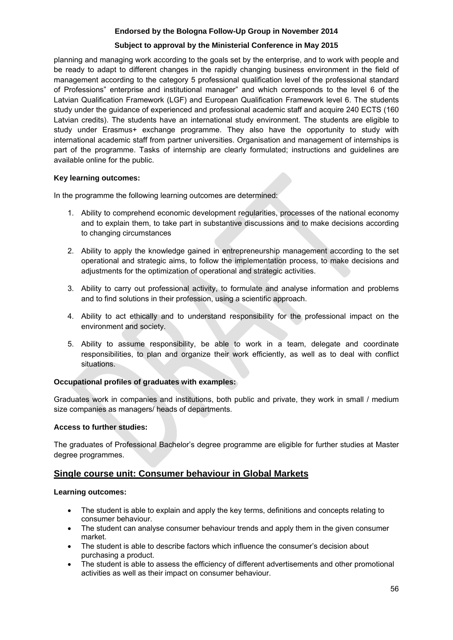## **Subject to approval by the Ministerial Conference in May 2015**

planning and managing work according to the goals set by the enterprise, and to work with people and be ready to adapt to different changes in the rapidly changing business environment in the field of management according to the category 5 professional qualification level of the professional standard of Professions" enterprise and institutional manager" and which corresponds to the level 6 of the Latvian Qualification Framework (LGF) and European Qualification Framework level 6. The students study under the guidance of experienced and professional academic staff and acquire 240 ECTS (160 Latvian credits). The students have an international study environment. The students are eligible to study under Erasmus+ exchange programme. They also have the opportunity to study with international academic staff from partner universities. Organisation and management of internships is part of the programme. Tasks of internship are clearly formulated; instructions and guidelines are available online for the public.

## **Key learning outcomes:**

In the programme the following learning outcomes are determined:

- 1. Ability to comprehend economic development regularities, processes of the national economy and to explain them, to take part in substantive discussions and to make decisions according to changing circumstances
- 2. Ability to apply the knowledge gained in entrepreneurship management according to the set operational and strategic aims, to follow the implementation process, to make decisions and adjustments for the optimization of operational and strategic activities.
- 3. Ability to carry out professional activity, to formulate and analyse information and problems and to find solutions in their profession, using a scientific approach.
- 4. Ability to act ethically and to understand responsibility for the professional impact on the environment and society.
- 5. Ability to assume responsibility, be able to work in a team, delegate and coordinate responsibilities, to plan and organize their work efficiently, as well as to deal with conflict situations.

## **Occupational profiles of graduates with examples:**

Graduates work in companies and institutions, both public and private, they work in small / medium size companies as managers/ heads of departments.

## **Access to further studies:**

The graduates of Professional Bachelor's degree programme are eligible for further studies at Master degree programmes.

## **Single course unit: Consumer behaviour in Global Markets**

## **Learning outcomes:**

- The student is able to explain and apply the key terms, definitions and concepts relating to consumer behaviour.
- The student can analyse consumer behaviour trends and apply them in the given consumer market.
- The student is able to describe factors which influence the consumer's decision about purchasing a product.
- The student is able to assess the efficiency of different advertisements and other promotional activities as well as their impact on consumer behaviour.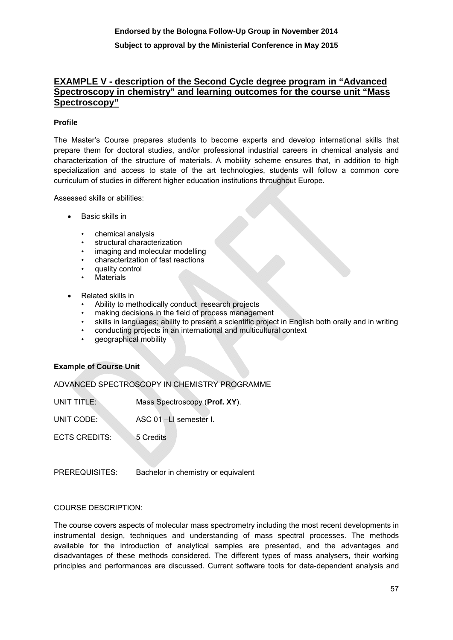## **EXAMPLE V - description of the Second Cycle degree program in "Advanced Spectroscopy in chemistry" and learning outcomes for the course unit "Mass Spectroscopy"**

## **Profile**

The Master's Course prepares students to become experts and develop international skills that prepare them for doctoral studies, and/or professional industrial careers in chemical analysis and characterization of the structure of materials. A mobility scheme ensures that, in addition to high specialization and access to state of the art technologies, students will follow a common core curriculum of studies in different higher education institutions throughout Europe.

Assessed skills or abilities:

- Basic skills in
	- chemical analysis
	- structural characterization
	- imaging and molecular modelling
	- characterization of fast reactions
	- quality control
	- **Materials**
- Related skills in
	- Ability to methodically conduct research projects
	- making decisions in the field of process management
	- skills in languages; ability to present a scientific project in English both orally and in writing
	- conducting projects in an international and multicultural context
	- geographical mobility

#### **Example of Course Unit**

ADVANCED SPECTROSCOPY IN CHEMISTRY PROGRAMME

UNIT TITLE: Mass Spectroscopy (**Prof. XY**).

UNIT CODE: ASC 01 –LI semester I.

ECTS CREDITS: 5 Credits

PREREQUISITES: Bachelor in chemistry or equivalent

## COURSE DESCRIPTION:

The course covers aspects of molecular mass spectrometry including the most recent developments in instrumental design, techniques and understanding of mass spectral processes. The methods available for the introduction of analytical samples are presented, and the advantages and disadvantages of these methods considered. The different types of mass analysers, their working principles and performances are discussed. Current software tools for data-dependent analysis and